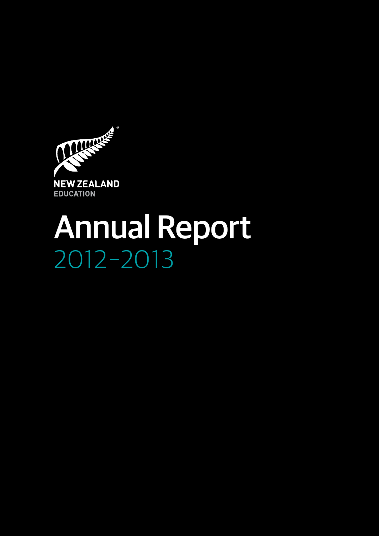

# 2012–2013 Annual Report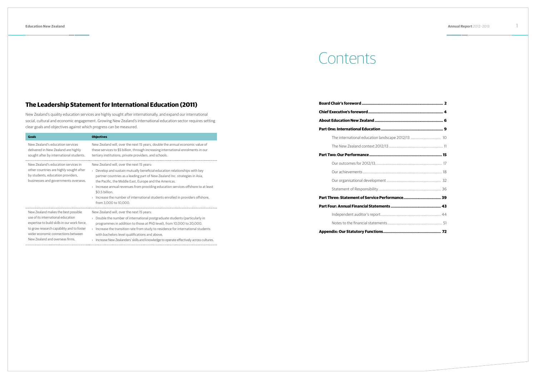# **Contents**

# **The Leadership Statement for International Education (2011)**

New Zealand's quality education services are highly sought after internationally, and expand our international social, cultural and economic engagement. Growing New Zealand's international education sector requires setting clear goals and objectives against which progress can be measured.

| Goals                                                                                                                                                       | <b>Objectives</b>                                                                                                                                                                                                                                                                                                                                                                                                                                                                           |
|-------------------------------------------------------------------------------------------------------------------------------------------------------------|---------------------------------------------------------------------------------------------------------------------------------------------------------------------------------------------------------------------------------------------------------------------------------------------------------------------------------------------------------------------------------------------------------------------------------------------------------------------------------------------|
| New Zealand's education services                                                                                                                            | New Zealand will, over the next 15 years, double the annual economic value of                                                                                                                                                                                                                                                                                                                                                                                                               |
| delivered in New Zealand are highly                                                                                                                         | these services to \$5 billion, through increasing international enrolments in our                                                                                                                                                                                                                                                                                                                                                                                                           |
| sought after by international students.                                                                                                                     | tertiary institutions, private providers, and schools.                                                                                                                                                                                                                                                                                                                                                                                                                                      |
| New Zealand's education services in<br>other countries are highly sought after<br>by students, education providers,<br>businesses and governments overseas. | New Zealand will, over the next 15 years:<br>$\rightarrow$ Develop and sustain mutually beneficial education relationships with key<br>partner countries as a leading part of New Zealand Inc. strategies in Asia,<br>the Pacific, the Middle East, Europe and the Americas.<br>Increase annual revenues from providing education services offshore to at least<br>\$0.5 billion.<br>Increase the number of international students enrolled in providers offshore,<br>from 3,000 to 10,000. |
| New Zealand makes the best possible                                                                                                                         | New Zealand will, over the next 15 years:                                                                                                                                                                                                                                                                                                                                                                                                                                                   |
| use of its international education                                                                                                                          | $\rightarrow$ Double the number of international postgraduate students (particularly in                                                                                                                                                                                                                                                                                                                                                                                                     |
| expertise to build skills in our work force,                                                                                                                | programmes in addition to those at PhD level), from 10,000 to 20,000.                                                                                                                                                                                                                                                                                                                                                                                                                       |
| to grow research capability and to foster                                                                                                                   | Increase the transition rate from study to residence for international students                                                                                                                                                                                                                                                                                                                                                                                                             |
| wider economic connections between                                                                                                                          | with bachelors level qualifications and above.                                                                                                                                                                                                                                                                                                                                                                                                                                              |
| New Zealand and overseas firms.                                                                                                                             | > Increase New Zealanders' skills and knowledge to operate effectively across cultures.                                                                                                                                                                                                                                                                                                                                                                                                     |

| The international education landscape 2012/13  10 |  |
|---------------------------------------------------|--|
|                                                   |  |
|                                                   |  |
|                                                   |  |
|                                                   |  |
|                                                   |  |
|                                                   |  |
|                                                   |  |
|                                                   |  |
|                                                   |  |
|                                                   |  |
|                                                   |  |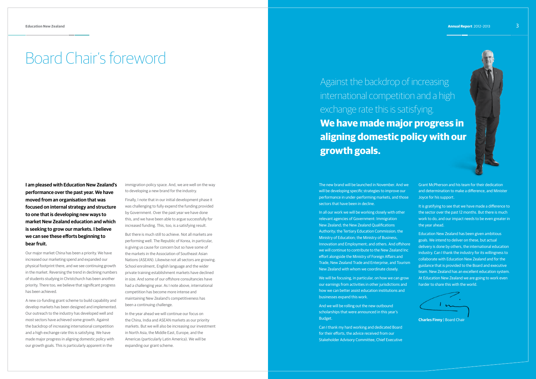# Board Chair's foreword

**I am pleased with Education New Zealand's performance over the past year. We have moved from an organisation that was focused on internal strategy and structure to one that is developing new ways to market New Zealand education and which is seeking to grow our markets. I believe we can see these efforts beginning to bear fruit.**

Our major market China has been a priority. We have increased our marketing spend and expanded our physical footprint there, and we see continuing growth in the market. Reversing the trend in declining numbers of students studying in Christchurch has been another priority. There too, we believe that significant progress has been achieved.

A new co-funding grant scheme to build capability and develop markets has been designed and implemented. Our outreach to the industry has developed well and most sectors have achieved some growth. Against the backdrop of increasing international competition and a high exchange rate this is satisfying. We have made major progress in aligning domestic policy with our growth goals. This is particularly apparent in the

immigration policy space. And, we are well on the way to developing a new brand for the industry.

The new brand will be launched in November. And w will be developing specific strategies to improve our performance in under-performing markets, and those sectors that have been in decline.

Finally, I note that in our initial development phase it was challenging to fully expend the funding provided by Government. Over the past year we have done this, and we have been able to argue successfully for increased funding. This, too, is a satisfying result.

But there is much still to achieve. Not all markets are performing well. The Republic of Korea, in particular, is giving us cause for concern but so have some of the markets in the Association of Southeast Asian Nations (ASEAN). Likewise not all sectors are growing. School enrolment, English language and the wider private training establishment markets have declined in size. And some of our offshore consultancies have had a challenging year. As I note above, international competition has become more intense and maintaining New Zealand's competitiveness has been a continuing challenge.

In the year ahead we will continue our focus on the China, India and ASEAN markets as our priority markets. But we will also be increasing our investment in North Asia, the Middle East, Europe, and the Americas (particularly Latin America). We will be expanding our grant scheme.

In all our work we will be working closely with other relevant agencies of Government: Immigration New Zealand; the New Zealand Qualifications Authority; the Tertiary Education Commission; the Ministry of Education; the Ministry of Business, Innovation and Employment; and others. And offshore we will continue to contribute to the New Zealand Inc effort alongside the Ministry of Foreign Affairs and Trade, New Zealand Trade and Enterprise, and Tourism New Zealand with whom we coordinate closely.

We will be focusing, in particular, on how we can grow our earnings from activities in other jurisdictions and how we can better assist education institutions and businesses expand this work.

And we will be rolling out the new outbound scholarships that were announced in this year's Budget.

Can I thank my hard working and dedicated Board for their efforts, the advice received from our Stakeholder Advisory Committee, Chief Executive Grant McPherson and his team for their dedication and determination to make a difference, and Minister Joyce for his support.

It is gratifying to see that we have made a difference to the sector over the past 12 months. But there is much work to do, and our impact needs to be even greater in the year ahead.

Education New Zealand has been given ambitious goals. We intend to deliver on these, but actual delivery is done by others, the international education industry. Can I thank the industry for its willingness to collaborate with Education New Zealand and for the guidance that is provided to the Board and executive team. New Zealand has an excellent education system. At Education New Zealand we are going to work even harder to share this with the world.



**Charles Finny** | Board Chair

Against the backdrop of increasing international competition and a high exchange rate this is satisfying. **We have made major progress in aligning domestic policy with our growth goals.**



|   | 1 |  |  |
|---|---|--|--|
|   |   |  |  |
|   |   |  |  |
|   |   |  |  |
| S |   |  |  |
|   |   |  |  |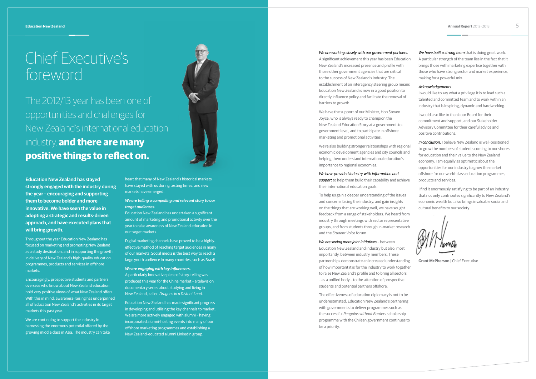The 2012/13 year has been one of opportunities and challenges for New Zealand's international education industry, **and there are many positive things to reflect on.**

# Chief Executive's foreword

## *We are working closely with our government partners.*

A significant achievement this year has been Education New Zealand's increased presence and profile with those other government agencies that are critical to the success of New Zealand's industry. The establishment of an interagency steering group means Education New Zealand is now in a good position to directly influence policy and facilitate the removal of barriers to growth.

We have the support of our Minister, Hon Steven Joyce, who is always ready to champion the New Zealand Education Story at a government-togovernment level, and to participate in offshore marketing and promotional activities.

their international education goals.

To help us gain a deeper understanding of the issues and concerns facing the industry, and gain insights on the things that are working well, we have sought feedback from a range of stakeholders. We heard from industry through meetings with sector representative groups, and from students through in-market research and the *Student Voice* forum.

# *We are seeing more joint initiatives* – between

Education New Zealand and industry but also, most importantly, between industry members. These partnerships demonstrate an increased understanding of how important it is for the industry to work together to raise New Zealand's profile and to bring all sectors – as a unified body – to the attention of prospective students and potential partners offshore.

We're also building stronger relationships with regional economic development agencies and city councils and helping them understand international education's importance to regional economies. *We have provided industry with information and support* to help them build their capability and achieve *In conclusion,* I believe New Zealand is well-positioned to grow the numbers of students coming to our shores for education and their value to the New Zealand economy. I am equally as optimistic about the opportunities for our industry to grow the market offshore for our world-class education programmes, products and services.

The effectiveness of education diplomacy is not to be underestimated. Education New Zealand's partnering with governments to deliver programmes such as the successful *Penguins without Borders* scholarship programme with the Chilean government continues to be a priority.

We are continuing to support the industry in harnessing the enormous potential offered by the growing middle class in Asia. The industry can take

| ŝ. | We have built a strong team that is doing great work.      |
|----|------------------------------------------------------------|
| on | A particular strength of the team lies in the fact that it |
|    | brings those with marketing expertise together with        |
|    | those who have strong sector and market experience,        |
|    | making for a powerful mix.                                 |
|    |                                                            |

# *Acknowledgements*

I would like to say what a privilege it is to lead such a talented and committed team and to work within an industry that is inspiring, dynamic and hardworking.

I would also like to thank our Board for their commitment and support, and our Stakeholder Advisory Committee for their careful advice and positive contributions.

I find it enormously satisfying to be part of an industry that not only contributes significantly to New Zealand's economic wealth but also brings invaluable social and cultural benefits to our society.

**Grant McPherson | Chief Executive** 

**Education New Zealand has stayed strongly engaged with the industry during the year – encouraging and supporting them to become bolder and more innovative. We have seen the value in adopting a strategic and results-driven approach, and have executed plans that will bring growth.**

Throughout the year Education New Zealand has focused on marketing and promoting New Zealand as a study destination, and in supporting the growth in delivery of New Zealand's high-quality education programmes, products and services in offshore markets.

Encouragingly, prospective students and partners overseas who know about New Zealand education hold very positive views of what New Zealand offers. With this in mind, awareness-raising has underpinned all of Education New Zealand's activities in its target markets this past year.

heart that many of New Zealand's historical markets have stayed with us during testing times, and new markets have emerged.

# *We are telling a compelling and relevant story to our target audiences.*

Education New Zealand has undertaken a significant amount of marketing and promotional activity over the year to raise awareness of New Zealand education in our target markets.

Digital marketing channels have proved to be a highlyeffective method of reaching target audiences in many of our markets. Social media is the best way to reach a large youth audience in many countries, such as Brazil.

### *We are engaging with key influencers.*

A particularly innovative piece of story-telling was produced this year for the China market – a television documentary series about studying and living in New Zealand, called *Dragons in a Distant Land* .

Education New Zealand has made significant progress in developing and utilising the key channels to market. We are more actively engaged with alumni - having incorporated alumni-hosting events into many of our offshore marketing programmes and establishing a New Zealand-educated alumni LinkedIn group.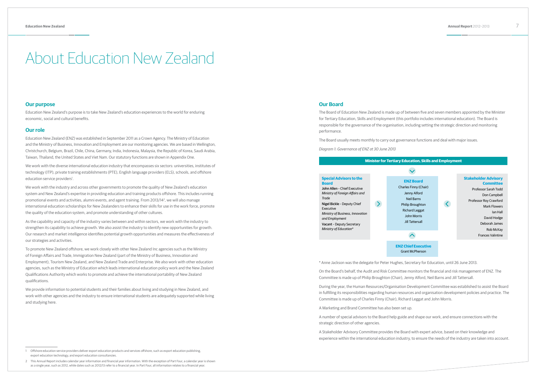# **Our purpose**

Education New Zealand's purpose is to take New Zealand's education experiences to the world for enduring economic, social and cultural benefits.

# **Our role**

We work with the diverse international education industry that encompasses six sectors: universities, institutes of technology (ITP), private training establishments (PTE), English language providers (ELS), schools, and offshore education service providers<sup>1</sup>.

Education New Zealand (ENZ) was established in September 2011 as a Crown Agency. The Ministry of Education and the Ministry of Business, Innovation and Employment are our monitoring agencies. We are based in Wellington, Christchurch, Belgium, Brazil, Chile, China, Germany, India, Indonesia, Malaysia, the Republic of Korea, Saudi Arabia, Taiwan, Thailand, the United States and Viet Nam. Our statutory functions are shown in Appendix One.

We work with the industry and across other governments to promote the quality of New Zealand's education system and New Zealand's expertise in providing education and training products offshore. This includes running promotional events and activities, alumni events, and agent training. From 2013/142 , we will also manage international education scholarships for New Zealanders to enhance their skills for use in the work force, promote the quality of the education system, and promote understanding of other cultures.

As the capability and capacity of the industry varies between and within sectors, we work with the industry to strengthen its capability to achieve growth. We also assist the industry to identify new opportunities for growth. Our research and market intelligence identifies potential growth opportunities and measures the effectiveness of our strategies and activities.

To promote New Zealand offshore, we work closely with other New Zealand Inc agencies such as the Ministry of Foreign Affairs and Trade, Immigration New Zealand (part of the Ministry of Business, Innovation and Employment), Tourism New Zealand, and New Zealand Trade and Enterprise. We also work with other education agencies, such as the Ministry of Education which leads international education policy work and the New Zealand Qualifications Authority which works to promote and achieve the international portability of New Zealand qualifications.

We provide information to potential students and their families about living and studying in New Zealand, and work with other agencies and the industry to ensure international students are adequately supported while living and studying here.

# About Education New Zealand

# **Our Board**

The Board of Education New Zealand is made up of between five and seven members appointed by the Minister for Tertiary Education, Skills and Employment (this portfolio includes international education). The Board is responsible for the governance of the organisation, including setting the strategic direction and monitoring performance.

The Board usually meets monthly to carry out governance functions and deal with major issues.

*Diagram 1: Governance of ENZ at 30 June 2013*

 $\rightarrow$ 



# **Special Advisors to the**

| <b>Board</b>                     |
|----------------------------------|
| John Allen - Chief Executive     |
| Ministry of Foreign Affairs and  |
| Trade                            |
| Nigel Bickle - Deputy Chief      |
| <b>Fxecutive</b>                 |
| Ministry of Business, Innovation |
| and Employment                   |
| Vacant - Deputy Secretary        |
| Ministry of Education*           |
|                                  |

| Charl |  |
|-------|--|
| I     |  |
|       |  |
| Phi   |  |
| Ri    |  |
|       |  |
|       |  |
|       |  |
|       |  |
|       |  |
|       |  |

\* Anne Jackson was the delegate for Peter Hughes, Secretary for Education, until 26 June 2013.

On the Board's behalf, the Audit and Risk Committee monitors the financial and risk management of ENZ. The Committee is made up of Philip Broughton (Chair), Jenny Alford, Neil Barns and Jill Tattersall.

During the year, the Human Resources/Organisation Development Committee was established to assist the Board in fulfilling its responsibilities regarding human resources and organisation development policies and practice. The Committee is made up of Charles Finny (Chair), Richard Leggat and John Morris.

A Marketing and Brand Committee has also been set up.

A number of special advisors to the Board help guide and shape our work, and ensure connections with the strategic direction of other agencies.

A Stakeholder Advisory Committee provides the Board with expert advice, based on their knowledge and experience within the international education industry, to ensure the needs of the industry are taken into account.

<sup>1</sup> Offshore education service providers deliver export education products and services offshore, such as export education publishing, export education technology, and export education consultancies.

<sup>2</sup> This Annual Report includes calendar year information and financial year information. With the exception of Part Four, a calendar year is shown as a single year, such as 2012, while dates such as 2012/13 refer to a financial year. In Part Four, all information relates to a financial year.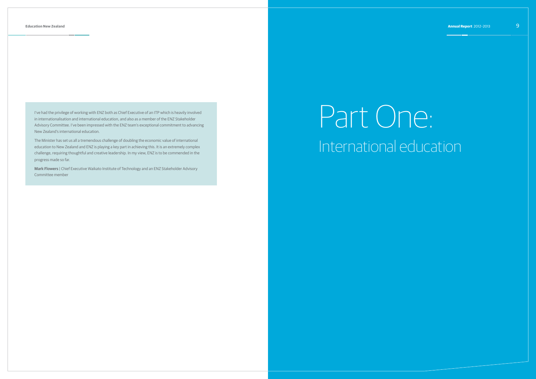I've had the privilege of working with ENZ both as Chief Executive of an ITP which is heavily involved in internationalisation and international education, and also as a member of the ENZ Stakeholder Advisory Committee. I've been impressed with the ENZ team's exceptional commitment to advancing New Zealand's international education.

The Minister has set us all a tremendous challenge of doubling the economic value of international education to New Zealand and ENZ is playing a key part in achieving this. It is an extremely complex challenge, requiring thoughtful and creative leadership. In my view, ENZ is to be commended in the progress made so far.

**Mark Flowers** | Chief Executive Waikato Institute of Technology and an ENZ Stakeholder Advisory Committee member

# Part One: International education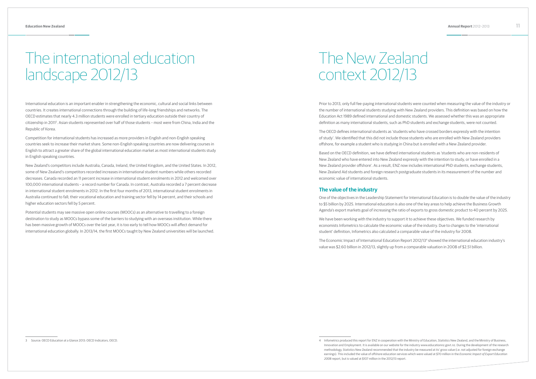International education is an important enabler in strengthening the economic, cultural and social links between countries. It creates international connections through the building of life-long friendships and networks. The OECD estimates that nearly 4.3 million students were enrolled in tertiary education outside their country of citizenship in 20113 . Asian students represented over half of those students – most were from China, India and the Republic of Korea.

Competition for international students has increased as more providers in English and non-English speaking countries seek to increase their market share. Some non-English speaking countries are now delivering courses in English to attract a greater share of the global international education market as most international students study in English speaking countries.

New Zealand's competitors include Australia, Canada, Ireland, the United Kingdom, and the United States. In 2012, some of New Zealand's competitors recorded increases in international student numbers while others recorded decreases. Canada recorded an 11 percent increase in international student enrolments in 2012 and welcomed over 100,000 international students – a record number for Canada. In contrast, Australia recorded a 7 percent decrease in international student enrolments in 2012. In the first four months of 2013, international student enrolments in Australia continued to fall; their vocational education and training sector fell by 14 percent, and their schools and higher education sectors fell by 5 percent.

Potential students may see massive open online courses (MOOCs) as an alternative to travelling to a foreign destination to study as MOOCs bypass some of the barriers to studying with an overseas institution. While there has been massive growth of MOOCs over the last year, it is too early to tell how MOOCs will affect demand for international education globally. In 2013/14, the first MOOCs taught by New Zealand universities will be launched.

# The international education landscape 2012/13

Innovation and Employment. It is available on our website for the industry www.educationnz.govt.nz. During the development of the research methodology, Statistics New Zealand recommended that the industry be measured at its' gross value (i.e. not adjusted for foreign exchange earnings). This included the value of offshore education services which were valued at \$70 million in the *Economic Impact of Export Education* 

Prior to 2013, only full fee-paying international students were counted when measuring the value of the industry or the number of international students studying with New Zealand providers. This definition was based on how the Education Act 1989 defined international and domestic students. We assessed whether this was an appropriate definition as many international students, such as PhD students and exchange students, were not counted.

The OECD defines international students as 'students who have crossed borders expressly with the intention of study'. We identified that this did not include those students who are enrolled with New Zealand providers offshore, for example a student who is studying in China but is enrolled with a New Zealand provider.

Based on the OECD definition, we have defined international students as 'students who are non-residents of New Zealand who have entered into New Zealand expressly with the intention to study, or have enrolled in a New Zealand provider offshore'. As a result, ENZ now includes international PhD students, exchange students, New Zealand Aid students and foreign research postgraduate students in its measurement of the number and economic value of international students.

# **The value of the industry**

One of the objectives in the Leadership Statement for International Education is to double the value of the industry to \$5 billion by 2025. International education is also one of the key areas to help achieve the Business Growth Agenda's export markets goal of increasing the ratio of exports to gross domestic product to 40 percent by 2025.

We have been working with the industry to support it to achieve these objectives. We funded research by economists Infometrics to calculate the economic value of the industry. Due to changes to the 'international student' definition, Infometrics also calculated a comparable value of the industry for 2008.

The Economic Impact of International Education Report 2012/134 showed the international education industry's value was \$2.60 billion in 2012/13, slightly up from a comparable valuation in 2008 of \$2.51 billion.

# The New Zealand context 2012/13

*<sup>2008</sup>* report, but is valued at \$107 million in the 2012/13 report.

<sup>3</sup> Source: OECD Education at a Glance 2013: OECD Indicators, OECD. **A Concerned A Concerned A Concerned the Statisty of Education**, Statistics New Zealand, and the Ministry of Business,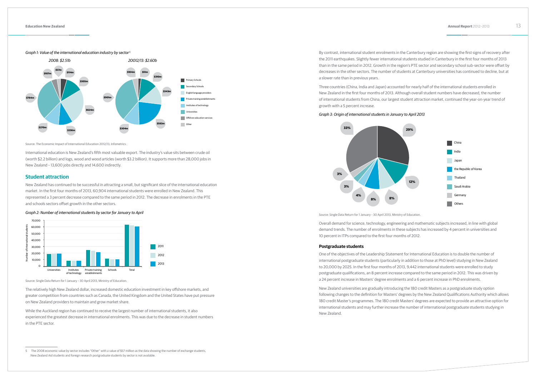Source: The Economic Impact of International Education 2012/13, Infometrics.

International education is New Zealand's fifth most valuable export. The industry's value sits between crude oil (worth \$2.2 billion) and logs, wood and wood articles (worth \$3.2 billion). It supports more than 28,000 jobs in New Zealand – 13,600 jobs directly and 14,600 indirectly.

# **Student attraction**

New Zealand has continued to be successful in attracting a small, but significant slice of the international education market. In the first four months of 2013, 60,904 international students were enrolled in New Zealand. This represented a 3 percent decrease compared to the same period in 2012. The decrease in enrolments in the PTE and schools sectors offset growth in the other sectors.

# *Graph 2: Number of international students by sector for January to April*

Graph 1: Value of the international education industry by sector<sup>5</sup> **5 By contrast, international student enrolments in the Canterbury region are showing the first signs of recovery after** the 2011 earthquakes. Slightly fewer international students studied in Canterbury in the first four months of 2013 than in the same period in 2012. Growth in the region's PTE sector and secondary school sub-sector were offset by decreases in the other sectors. The number of students at Canterbury universities has continued to decline, but at a slower rate than in previous years.



Source: Single Data Return for 1 January – 30 April 2013, Ministry of Education.

The relatively high New Zealand dollar, increased domestic education investment in key offshore markets, and greater competition from countries such as Canada, the United Kingdom and the United States have put pressure on New Zealand providers to maintain and grow market share.

While the Auckland region has continued to receive the largest number of international students, it also experienced the greatest decrease in international enrolments. This was due to the decrease in student numbers in the PTE sector.



Three countries (China, India and Japan) accounted for nearly half of the international students enrolled in New Zealand in the first four months of 2013. Although overall student numbers have decreased, the number of international students from China, our largest student attraction market, continued the year-on-year trend of growth with a 5 percent increase.

### *Graph 3: Origin of international students in January to April 2013*



Source: Single Data Return for 1 January - 30 April 2013, Ministry of Education.

Overall demand for science, technology, engineering and mathematic subjects increased, in line with global demand trends. The number of enrolments in these subjects has increased by 4 percent in universities and 10 percent in ITPs compared to the first four months of 2012.

### **Postgraduate students**

One of the objectives of the Leadership Statement for International Education is to double the number of international postgraduate students (particularly in addition to those at PhD level) studying in New Zealand to 20,000 by 2025. In the first four months of 2013, 9,442 international students were enrolled to study postgraduate qualifications, an 8 percent increase compared to the same period in 2012. This was driven by a 24 percent increase in Masters' degree enrolments and a 6 percent increase in PhD enrolments.

New Zealand universities are gradually introducing the 180 credit Masters as a postgraduate study option following changes to the definition for Masters' degrees by the New Zealand Qualifications Authority which allows 180 credit Master's programmes. The 180 credit Masters' degrees are expected to provide an attractive option for international students and may further increase the number of international postgraduate students studying in New Zealand.

<sup>5</sup> The 2008 economic value by sector includes "Other" with a value of \$57 million as the data showing the number of exchange students, New Zealand Aid students and foreign research postgraduate students by sector is not available.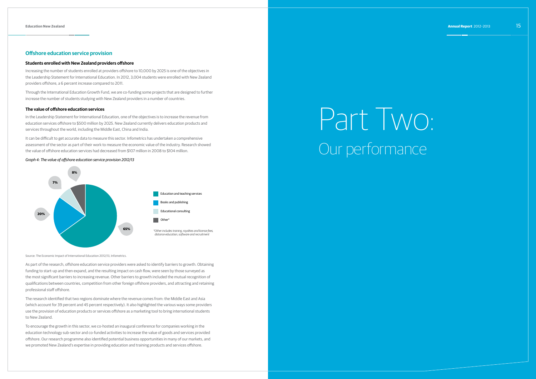# **Offshore education service provision**

# **Students enrolled with New Zealand providers offshore**

Increasing the number of students enrolled at providers offshore to 10,000 by 2025 is one of the objectives in the Leadership Statement for International Education. In 2012, 3,004 students were enrolled with New Zealand providers offshore, a 6 percent increase compared to 2011.

Through the International Education Growth Fund, we are co-funding some projects that are designed to further increase the number of students studying with New Zealand providers in a number of countries.

# **The value of offshore education services**

In the Leadership Statement for International Education, one of the objectives is to increase the revenue from education services offshore to \$500 million by 2025. New Zealand currently delivers education products and services throughout the world, including the Middle East, China and India.

It can be difficult to get accurate data to measure this sector. Infometrics has undertaken a comprehensive assessment of the sector as part of their work to measure the economic value of the industry. Research showed the value of offshore education services had decreased from \$107 million in 2008 to \$104 million.

# *Graph 4: The value of offshore education service provision 2012/13*



Source: The Economic Impact of International Education 2012/13, Infometrics.

As part of the research, offshore education service providers were asked to identify barriers to growth. Obtaining funding to start-up and then expand, and the resulting impact on cash flow, were seen by those surveyed as the most significant barriers to increasing revenue. Other barriers to growth included the mutual recognition of qualifications between countries, competition from other foreign offshore providers, and attracting and retaining professional staff offshore.

The research identified that two regions dominate where the revenue comes from: the Middle East and Asia (which account for 39 percent and 45 percent respectively). It also highlighted the various ways some providers use the provision of education products or services offshore as a marketing tool to bring international students to New Zealand.

To encourage the growth in this sector, we co-hosted an inaugural conference for companies working in the education technology sub-sector and co-funded activities to increase the value of goods and services provided offshore. Our research programme also identified potential business opportunities in many of our markets, and we promoted New Zealand's expertise in providing education and training products and services offshore.

# Part Two: Our performance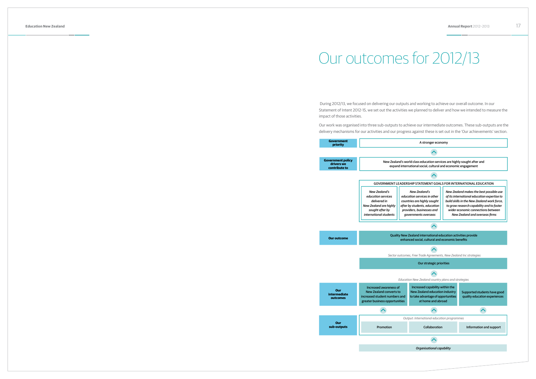During 2012/13, we focused on delivering our outputs and working to achieve our overall outcome. In our Statement of Intent 2012-15, we set out the activities we planned to deliver and how we intended to measure the impact of those activities.

Our work was organised into three sub-outputs to achieve our intermediate outcomes. These sub-outputs are the delivery mechanisms for our activities and our progress against these is set out in the 'Our achievements' section.



| <b>Government</b><br>priority                           |                                                                                                                                   |                                |
|---------------------------------------------------------|-----------------------------------------------------------------------------------------------------------------------------------|--------------------------------|
| <b>Government policy</b><br>drivers we<br>contribute to | New Zealand's w<br>expand inte                                                                                                    |                                |
|                                                         |                                                                                                                                   |                                |
|                                                         | <b>GOVERNMENT LEADE</b>                                                                                                           |                                |
|                                                         | <b>New Zealand's</b><br>education services<br>delivered in<br>New Zealand are highly<br>sought after by<br>international students | edu<br>cou<br>afte<br>pro<br>g |
| <b>Our outcome</b>                                      |                                                                                                                                   | <b>Quality Nev</b><br>enh      |
|                                                         | Sector outcon                                                                                                                     |                                |
|                                                         |                                                                                                                                   | Educc                          |
| Our<br>intermediate<br>outcomes                         | Increased awareness of<br><b>New Zealand converts to</b><br>increased student numbers and<br>greater business opportunities       |                                |
|                                                         |                                                                                                                                   |                                |
| Our<br>sub-outputs                                      | Promotion                                                                                                                         | O                              |
|                                                         |                                                                                                                                   |                                |

# Our outcomes for 2012/13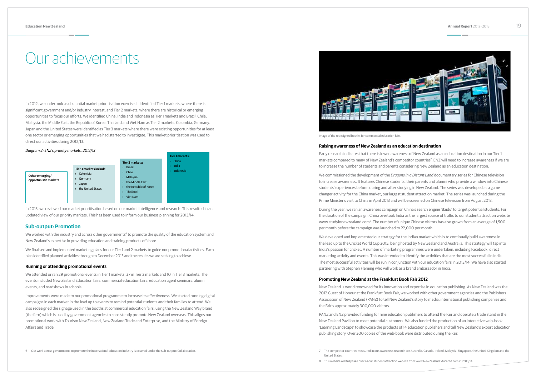6 Our work across governments to promote the international education industry is covered under the Sub-output: Collaboration.

In 2012, we undertook a substantial market prioritisation exercise. It identified Tier 1 markets, where there is significant government and/or industry interest, and Tier 2 markets, where there are historical or emerging opportunities to focus our efforts. We identified China, India and Indonesia as Tier 1 markets and Brazil, Chile, Malaysia, the Middle East, the Republic of Korea, Thailand and Viet Nam as Tier 2 markets. Colombia, Germany, Japan and the United States were identified as Tier 3 markets where there were existing opportunities for at least one sector or emerging opportunities that we had started to investigate. This market prioritisation was used to direct our activities during 2012/13.

We worked with the industry and across other governments<sup>6</sup> to promote the quality of the education system and New Zealand's expertise in providing education and training products offshore.

# *Diagram 2: ENZ's priority markets, 2012/13*



In 2013, we reviewed our market prioritisation based on our market intelligence and research. This resulted in an updated view of our priority markets. This has been used to inform our business planning for 2013/14.

# **Sub-output: Promotion**

We finalised and implemented marketing plans for our Tier 1 and 2 markets to guide our promotional activities. Each plan identified planned activities through to December 2013 and the results we are seeking to achieve.

# **Running or attending promotional events**

We attended or ran 29 promotional events in Tier 1 markets, 37 in Tier 2 markets and 10 in Tier 3 markets. The events included New Zealand Education fairs, commercial education fairs, education agent seminars, alumni events, and roadshows in schools.

Improvements were made to our promotional programme to increase its effectiveness. We started running digital campaigns in each market in the lead up to events to remind potential students and their families to attend. We also redesigned the signage used in the booths at commercial education fairs, using the New Zealand Way brand (the fern) which is used by government agencies to consistently promote New Zealand overseas. This aligns our promotional work with Tourism New Zealand, New Zealand Trade and Enterprise, and the Ministry of Foreign Affairs and Trade.

# Our achievements

7 The competitor countries measured in our awareness research are Australia, Canada, Ireland, Malaysia, Singapore, the United Kingdom and the



Image of the redesigned booths for commercial education fairs.

# **Raising awareness of New Zealand as an education destination**

Early research indicates that there is lower awareness of New Zealand as an education destination in our Tier 1 markets compared to many of New Zealand's competitor countries<sup>7</sup>. ENZ will need to increase awareness if we are to increase the number of students and parents considering New Zealand as an education destination.

We commissioned the development of the *Dragons in a Distant Land* documentary series for Chinese television to increase awareness. It features Chinese students, their parents and alumni who provide a window into Chinese students' experiences before, during and after studying in New Zealand. The series was developed as a game changer activity for the China market, our largest student attraction market. The series was launched during the Prime Minister's visit to China in April 2013 and will be screened on Chinese television from August 2013.

During the year, we ran an awareness campaign on China's search engine 'Baidu' to target potential students. For the duration of the campaign, China overtook India as the largest source of traffic to our student attraction website www.studyinnewzealand.com8. The number of unique Chinese visitors has also grown from an average of 1,500 per month before the campaign was launched to 22,000 per month.

We developed and implemented our strategy for the Indian market which is to continually build awareness in the lead up to the Cricket World Cup 2015, being hosted by New Zealand and Australia. This strategy will tap into India's passion for cricket. A number of marketing programmes were undertaken, including Facebook, direct marketing activity and events. This was intended to identify the activities that are the most successful in India. The most successful activities will be run in conjunction with our education fairs in 2013/14. We have also started partnering with Stephen Fleming who will work as a brand ambassador in India.

# **Promoting New Zealand at the Frankfurt Book Fair 2012**

New Zealand is world renowned for its innovation and expertise in education publishing. As New Zealand was the 2012 Guest of Honour at the Frankfurt Book Fair, we worked with other government agencies and the Publishers Association of New Zealand (PANZ) to tell New Zealand's story to media, international publishing companies and the Fair's approximately 300,000 visitors.

PANZ and ENZ provided funding for nine education publishers to attend the Fair and operate a trade stand in the New Zealand Pavilion to meet potential customers. We also funded the production of an interactive web-book 'Learning Landscape' to showcase the products of 14 education publishers and tell New Zealand's export education publishing story. Over 300 copies of the web-book were distributed during the Fair.

United States.

<sup>8</sup> This website will fully take over as our student attraction website from www.NewZealandEducated.com in 2013/14.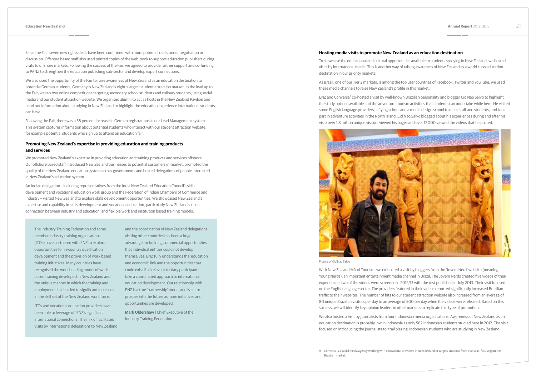Since the Fair, seven new rights deals have been confirmed, with more potential deals under negotiation or discussion. Offshore based staff also used printed copies of the web-book to support education publishers during visits to offshore markets. Following the success of the Fair, we agreed to provide further support and co-funding to PANZ to strengthen the education publishing sub-sector and develop export connections.

We also used the opportunity of the Fair to raise awareness of New Zealand as an education destination to potential German students; Germany is New Zealand's eighth largest student attraction market. In the lead up to the Fair, we ran two online competitions targeting secondary school students and culinary students, using social media and our student attraction website. We organised alumni to act as hosts in the New Zealand Pavilion and hand out information about studying in New Zealand to highlight the education experience international students can have.

Following the Fair, there was a 38 percent increase in German registrations in our Lead Management system. This system captures information about potential students who interact with our student attraction website, for example potential students who sign up to attend an education fair.

# **Promoting New Zealand's expertise in providing education and training products and services**

We promoted New Zealand's expertise in providing education and training products and services offshore. Our offshore based staff introduced New Zealand businesses to potential customers in-market, promoted the quality of the New Zealand education system across governments and hosted delegations of people interested in New Zealand's education system.

An Indian delegation – including representatives from the India New Zealand Education Council's skills development and vocational education work group and the Federation of Indian Chambers of Commerce and Industry – visited New Zealand to explore skills development opportunities. We showcased New Zealand's expertise and capability in skills development and vocational education, particularly New Zealand's close connection between industry and education, and flexible work and institution based training models.

The Industry Training Federation and some member industry training organisations (ITOs) have partnered with ENZ to explore opportunities for in-country qualification development and the provision of work based training initiatives. Many countries have recognised the world leading model of work based training developed in New Zealand and the unique manner in which the training and employment link has led to significant increases in the skill set of the New Zealand work force.

ITOs and vocational education providers have been able to leverage off ENZ's significant international connections. The mix of facilitated visits by international delegations to New Zealand

and the coordination of New Zealand delegations visiting other countries has been a huge advantage for building commercial opportunities that individual entities could not develop themselves. ENZ fully understands the 'education and economic' link and the opportunities that could exist if all relevant tertiary participants take a coordinated approach to international education development. Our relationship with ENZ is a true 'partnership' model and is set to prosper into the future as more initiatives and opportunities are developed.

**Mark Oldershaw** | Chief Executive of the Industry Training Federation

9 Conversa is a social media agency working with educational providers in New Zealand. It targets students from overseas, focusing on the

# **Hosting media visits to promote New Zealand as an education destination**

To showcase the educational and cultural opportunities available to students studying in New Zealand, we hosted visits by international media. This is another way of raising awareness of New Zealand as a world class education destination in our priority markets.

As Brazil, one of our Tier 2 markets, is among the top user countries of Facebook, Twitter and YouTube, we used these media channels to raise New Zealand's profile in this market.

ENZ and Conversa9 co-hosted a visit by well-known Brazilian personality and blogger Cid Nao Salvo to highlight the study options available and the adventure tourism activities that students can undertake while here. He visited some English language providers, a flying school and a media design school to meet staff and students, and took part in adventure activities in the North Island. Cid Nao Salvo blogged about his experiences during and after his visit; over 1.8 million unique visitors viewed his pages and over 17,000 viewed the videos that he posted.



Picture of Cid Nao Salvo

With New Zealand Māori Tourism, we co-hosted a visit by bloggers from the 'Jovem Nerd' website (meaning Young Nerds), an important entertainment media channel in Brazil. The Jovem Nerds created five videos of their experiences; two of the videos were screened in 2012/13 with the rest published in July 2013. Their visit focused on the English language sector. The providers featured in their videos reported significantly increased Brazilian traffic to their websites. The number of hits to our student attraction website also increased from an average of 80 unique Brazilian visitors per day to an average of 500 per day when the videos were released. Based on this success, we will identify key opinion leaders in other markets to replicate this type of promotion.

We also hosted a visit by journalists from four Indonesian media organisations. Awareness of New Zealand as an education destination is probably low in Indonesia as only 562 Indonesian students studied here in 2012. The visit focused on introducing the journalists to 'trail blazing' Indonesian students who are studying in New Zealand.

Brazilian market.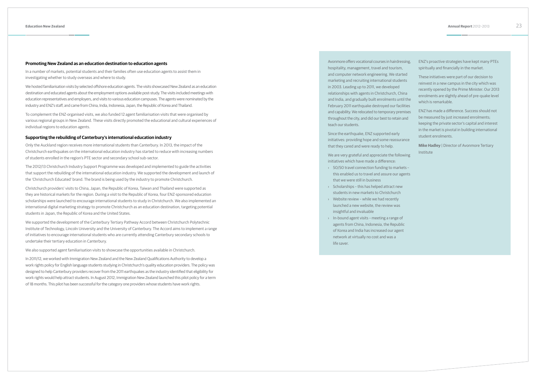## **Promoting New Zealand as an education destination to education agents**

In a number of markets, potential students and their families often use education agents to assist them in investigating whether to study overseas and where to study.

We hosted familiarisation visits by selected offshore education agents. The visits showcased New Zealand as an education destination and educated agents about the employment options available post-study. The visits included meetings with education representatives and employers, and visits to various education campuses. The agents were nominated by the industry and ENZ's staff, and came from China, India, Indonesia, Japan, the Republic of Korea and Thailand.

To complement the ENZ-organised visits, we also funded 12 agent familiarisation visits that were organised by various regional groups in New Zealand. These visits directly promoted the educational and cultural experiences of individual regions to education agents.

# **Supporting the rebuilding of Canterbury's international education industry**

Only the Auckland region receives more international students than Canterbury. In 2013, the impact of the Christchurch earthquakes on the international education industry has started to reduce with increasing numbers of students enrolled in the region's PTE sector and secondary school sub-sector.

The 2012/13 Christchurch Industry Support Programme was developed and implemented to guide the activities that support the rebuilding of the international education industry. We supported the development and launch of the 'Christchurch Educated' brand. The brand is being used by the industry to promote Christchurch.

Avonmore offers vocational courses in hairdressi hospitality, management, travel and tourism, and computer network engineering. We started marketing and recruiting international students in 2003. Leading up to 2011, we developed relationships with agents in Christchurch, Chin and India, and gradually built enrolments until February 2011 earthquake destroyed our facilit and capability. We relocated to temporary premi throughout the city, and did our best to retain an teach our students.

Christchurch providers' visits to China, Japan, the Republic of Korea, Taiwan and Thailand were supported as they are historical markets for the region. During a visit to the Republic of Korea, four ENZ-sponsored education scholarships were launched to encourage international students to study in Christchurch. We also implemented an international digital marketing strategy to promote Christchurch as an education destination, targeting potential students in Japan, the Republic of Korea and the United States.

We are very grateful and appreciate the following initiatives which have made a difference:

- <sup>3</sup> 50/50 travel connection funding to markets this enabled us to travel and assure our agents that we were still in business
- › Scholarships this has helped attract new students in new markets to Christchurch
- › Website review while we had recently launched a new website, the review was insightful and invaluable
- › In-bound agent visits meeting a range of agents from China, Indonesia, the Republic of Korea and India has increased our agent network at virtually no cost and was a life saver.

We supported the development of the Canterbury Tertiary Pathway Accord between Christchurch Polytechnic Institute of Technology, Lincoln University and the University of Canterbury. The Accord aims to implement a range of initiatives to encourage international students who are currently attending Canterbury secondary schools to undertake their tertiary education in Canterbury.

We also supported agent familiarisation visits to showcase the opportunities available in Christchurch.

In 2011/12, we worked with Immigration New Zealand and the New Zealand Qualifications Authority to develop a work rights policy for English language students studying in Christchurch's quality education providers. The policy was designed to help Canterbury providers recover from the 2011 earthquakes as the industry identified that eligibility for work rights would help attract students. In August 2012, Immigration New Zealand launched this pilot policy for a term of 18 months. This pilot has been successful for the category one providers whose students have work rights.

Since the earthquake, ENZ supported early initiatives: providing hope and some reassuran that they cared and were ready to help.

| ing,        | ENZ's proactive strategies have kept many PTEs<br>spiritually and financially in the market.                                                                                                            |
|-------------|---------------------------------------------------------------------------------------------------------------------------------------------------------------------------------------------------------|
| d<br>S<br>a | These initiatives were part of our decision to<br>reinvest in a new campus in the city which was<br>recently opened by the Prime Minister. Our 2013<br>enrolments are slightly ahead of pre-quake level |
| the<br>ies  | which is remarkable.                                                                                                                                                                                    |
| ises        | ENZ has made a difference. Success should not                                                                                                                                                           |
| ıd          | be measured by just increased enrolments;<br>keeping the private sector's capital and interest<br>in the market is pivotal in building international                                                    |
| ice         | student enrolments.<br>Mike Hadley   Director of Avonmore Tertiary                                                                                                                                      |
| ing         | Institute                                                                                                                                                                                               |
| $c =$       |                                                                                                                                                                                                         |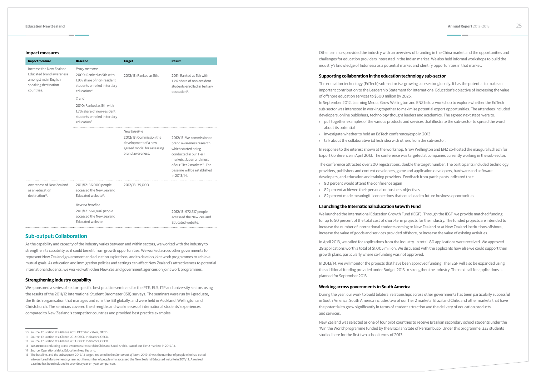### **Impact measures**

| <b>Impact measure</b>                                                                                                     | <b>Baseline</b>                                                                                                                       | <b>Target</b>                                                                                     | <b>Result</b>                                                                                                                                                                                                                 |
|---------------------------------------------------------------------------------------------------------------------------|---------------------------------------------------------------------------------------------------------------------------------------|---------------------------------------------------------------------------------------------------|-------------------------------------------------------------------------------------------------------------------------------------------------------------------------------------------------------------------------------|
| Increase the New Zealand<br><b>Educated brand awareness</b><br>amongst main English<br>speaking destination<br>countries. | Proxy measure<br>2009: Ranked as 5th with<br>1.9% share of non-resident<br>students enrolled in tertiary<br>education <sup>10</sup> . | 2012/13: Ranked as 5th.                                                                           | 2011: Ranked as 5th with<br>1.7% share of non-resident<br>students enrolled in tertiary<br>education <sup>12</sup> .                                                                                                          |
|                                                                                                                           | Trend<br>2010: Ranked as 5th with<br>1.7% share of non-resident<br>students enrolled in tertiary<br>education <sup>11</sup> .         |                                                                                                   |                                                                                                                                                                                                                               |
|                                                                                                                           |                                                                                                                                       | New baseline                                                                                      |                                                                                                                                                                                                                               |
|                                                                                                                           |                                                                                                                                       | 2012/13: Commission the<br>development of a new<br>agreed model for assessing<br>brand awareness. | 2012/13: We commissioned<br>brand awareness research<br>which started being<br>conducted in our Tier 1<br>markets, Japan and most<br>of our Tier 2 markets <sup>13</sup> . The<br>baseline will be established<br>in 2013/14. |
| Awareness of New Zealand<br>as an education<br>destination <sup>14</sup> .                                                | 2011/12: 36,000 people<br>accessed the New Zealand<br>Educated website <sup>15</sup> .                                                | 2012/13: 39,000                                                                                   |                                                                                                                                                                                                                               |
|                                                                                                                           | Revised baseline<br>2011/12: 560,446 people<br>accessed the New Zealand<br>Educated website.                                          |                                                                                                   | 2012/13: 972,517 people<br>accessed the New Zealand<br>Educated website.                                                                                                                                                      |

# **Sub-output: Collaboration**

As the capability and capacity of the industry varies between and within sectors, we worked with the industry to strengthen its capability so it could benefit from growth opportunities. We worked across other governments to represent New Zealand government and education aspirations, and to develop joint work programmes to achieve mutual goals. As education and immigration policies and settings can affect New Zealand's attractiveness to potential international students, we worked with other New Zealand government agencies on joint work programmes.

## **Strengthening industry capability**

We sponsored a series of sector-specific best practice seminars for the PTE, ELS, ITP and university sectors using the results of the 2011/12 International Student Barometer (ISB) surveys. The seminars were run by i-graduate, the British organisation that manages and runs the ISB globally, and were held in Auckland, Wellington and Christchurch. The seminars covered the strengths and weaknesses of international students' experiences compared to New Zealand's competitor countries and provided best practice examples.

Other seminars provided the industry with an overview of branding in the China market and the opportunities and challenges for education providers interested in the Indian market. We also held informal workshops to build the industry's knowledge of Indonesia as a potential market and identify opportunities in that market.

# **Supporting collaboration in the education technology sub-sector**

The education technology (EdTech) sub-sector is a growing sub-sector globally. It has the potential to make an important contribution to the Leadership Statement for International Education's objective of increasing the value of offshore education services to \$500 million by 2025. In September 2012, Learning Media, Grow Wellington and ENZ held a workshop to explore whether the EdTech sub-sector was interested in working together to maximise potential export opportunities. The attendees included developers, online publishers, technology thought leaders and academics. The agreed next steps were to:

› pull together examples of the various products and services that illustrate the sub-sector to spread the word

- about its potential
- › investigate whether to hold an EdTech conference/expo in 2013
- › talk about the collaborative EdTech idea with others from the sub-sector.

In response to the interest shown at the workshop, Grow Wellington and ENZ co-hosted the inaugural EdTech for Export Conference in April 2013. The conference was targeted at companies currently working in the sub-sector.

The conference attracted over 200 registrations, double the target number. The participants included technology providers, publishers and content developers, game and application developers, hardware and software developers, and education and training providers. Feedback from participants indicated that:

- › 90 percent would attend the conference again
- › 82 percent achieved their personal or business objectives
- 

› 82 percent made meaningful connections that could lead to future business opportunities.

# **Launching the International Education Growth Fund**

We launched the International Education Growth Fund (IEGF). Through the IEGF, we provide matched funding for up to 50 percent of the total cost of short-term projects for the industry. The funded projects are intended to increase the number of international students coming to New Zealand or at New Zealand institutions offshore, increase the value of goods and services provided offshore, or increase the value of existing activities.

In April 2013, we called for applications from the industry. In total, 80 applications were received. We approved 29 applications worth a total of \$1.005 million. We discussed with the applicants how else we could support their growth plans, particularly where co-funding was not approved.

In 2013/14, we will monitor the projects that have been approved funding. The IEGF will also be expanded using the additional funding provided under Budget 2013 to strengthen the industry. The next call for applications is planned for September 2013.

# **Working across governments in South America**

During the year, our work to build bilateral relationships across other governments has been particularly successful in South America. South America includes two of our Tier 2 markets, Brazil and Chile, and other markets that have the potential to grow significantly in terms of student attraction and the delivery of education products and services.

New Zealand was selected as one of four pilot countries to receive Brazilian secondary school students under the 'Win the World' programme funded by the Brazilian State of Pernambuco. Under this programme, 333 students studied here for the first two school terms of 2013.

<sup>10</sup> Source: Education at a Glance 2011: OECD Indicators, OECD.

<sup>11</sup> Source: Education at a Glance 2012: OECD Indicators, OECD.

<sup>12</sup> Source: Education at a Glance 2013: OECD Indicators, OECD.

<sup>13</sup> We are not conducting brand awareness research in Chile and Saudi Arabia, two of our Tier 2 markets in 2012/13.

<sup>14</sup> Source: Operational data, Education New Zealand.

<sup>15</sup> The baseline, and the subsequent 2012/13 target, reported in the *Statement of Intent 2012-15* was the number of people who had opted into our Lead Management system, not the number of people who accessed the New Zealand Educated website in 2011/12. A revised baseline has been included to provide a year-on-year comparison.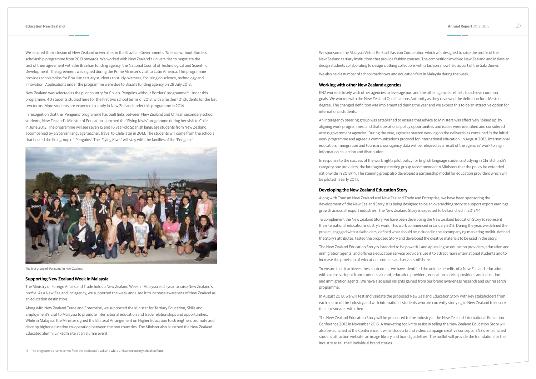16 The programme's name comes from the traditional black and white Chilean secondary school uniform.

We secured the inclusion of New Zealand universities in the Brazilian Government's 'Science without Borders' scholarship programme from 2013 onwards. We worked with New Zealand's universities to negotiate the text of their agreement with the Brazilian funding agency, the National Council of Technological and Scientific Development. The agreement was signed during the Prime Minister's visit to Latin America. This programme provides scholarships for Brazilian tertiary students to study overseas, focusing on science, technology and innovation. Applications under the programme were due to Brazil's funding agency on 29 July 2013.

New Zealand was selected as the pilot country for Chile's 'Penguins without Borders' programme16. Under this programme, 40 students studied here for the first two school terms of 2013, with a further 101 students for the last two terms. More students are expected to study in New Zealand under this programme in 2014.

In recognition that the 'Penguins' programme has built links between New Zealand and Chilean secondary school students, New Zealand's Minister of Education launched the 'Flying Kiwis' programme during her visit to Chile in June 2013. The programme will see seven 15 and 16 year-old Spanish language students from New Zealand, accompanied by a Spanish language teacher, travel to Chile later in 2013. The students will come from the schools that hosted the first group of 'Penguins'. The 'Flying Kiwis' will stay with the families of the 'Penguins'.



The first group of 'Penguins' in New Zealand.

## **Supporting New Zealand Week in Malaysia**

The Ministry of Foreign Affairs and Trade holds a New Zealand Week in Malaysia each year to raise New Zealand's profile. As a New Zealand Inc agency, we supported the week and used it to increase awareness of New Zealand as an education destination.

Along with New Zealand Trade and Enterprise, we supported the Minister for Tertiary Education, Skills and Employment's visit to Malaysia to promote international education and trade relationships and opportunities. While in Malaysia, the Minister signed the Bilateral Arrangement on Higher Education to strengthen, promote and develop higher education co-operation between the two countries. The Minister also launched the New Zealand Educated alumni LinkedIn site at an alumni event.

We sponsored the Malaysia Virtual Re-Start Fashion Competition which was designed to raise the profile of the New Zealand tertiary institutions that provide fashion courses. The competition involved New Zealand and Malaysian design students collaborating to design clothing collections with a fashion show held as part of the Gala Dinner.

We also held a number of school roadshows and education fairs in Malaysia during the week.

## **Working with other New Zealand agencies**

ENZ worked closely with other agencies to leverage our, and the other agencies, efforts to achieve common goals. We worked with the New Zealand Qualifications Authority as they reviewed the definition for a Masters' degree. The changed definition was implemented during the year and we expect this to be an attractive option for international students.

An interagency steering group was established to ensure that advice to Ministers was effectively 'joined up' by aligning work programmes, and that operational policy opportunities and issues were identified and considered across government agencies. During the year, agencies started working on the deliverables contained in the initial work programme and agreed a communications protocol for international education. In August 2013, international education, immigration and tourism cross-agency data will be released as a result of the agencies' work to align information collection and distribution.

In response to the success of the work rights pilot policy for English language students studying in Christchurch's category one providers, the interagency steering group recommended to Ministers that the policy be extended nationwide in 2013/14. The steering group also developed a partnership model for education providers which will be piloted in early 2014.

# **Developing the New Zealand Education Story**

Along with Tourism New Zealand and New Zealand Trade and Enterprise, we have been sponsoring the development of the New Zealand Story. It is being designed to be an overarching story to support export earnings growth across all export industries. The New Zealand Story is expected to be launched in 2013/14.

To complement the New Zealand Story, we have been developing the New Zealand Education Story to represent the international education industry's work. This work commenced in January 2013. During the year, we defined the project, engaged with stakeholders, defined what should be included in the accompanying marketing toolkit, defined the Story's attributes, tested the proposed Story and developed the creative materials to be used in the Story.

The New Zealand Education Story is intended to be powerful and appealing so education providers, education and immigration agents, and offshore education service providers use it to attract more international students and to increase the provision of education products and services offshore.

To ensure that it achieves these outcomes, we have identified the unique benefits of a New Zealand education with extensive input from students, alumni, education providers, education service providers, and education and immigration agents. We have also used insights gained from our brand awareness research and our research programme.

In August 2013, we will test and validate the proposed New Zealand Education Story with key stakeholders from each sector of the industry and with international students who are currently studying in New Zealand to ensure that it resonates with them.

The New Zealand Education Story will be presented to the industry at the New Zealand International Education Conference 2013 in November 2013. A marketing toolkit to assist in telling the New Zealand Education Story will also be launched at the Conference. It will include a brand video, campaign creative concepts, ENZ's re-launched student attraction website, an image library and brand guidelines. The toolkit will provide the foundation for the industry to tell their individual brand stories.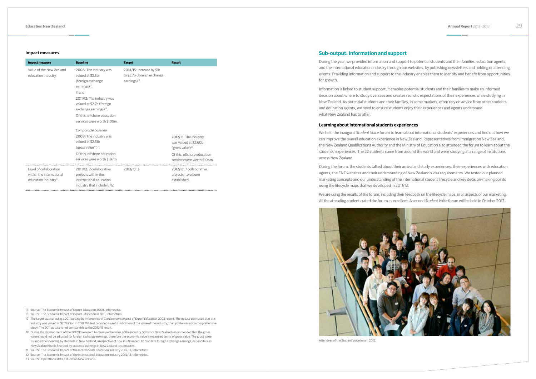# **Impact measures**

| <b>Impact measure</b>                                                                    | <b>Baseline</b>                                                                                                                                                                                                                                               | <b>Target</b>                                                                         | <b>Result</b>                                                                                                                           |
|------------------------------------------------------------------------------------------|---------------------------------------------------------------------------------------------------------------------------------------------------------------------------------------------------------------------------------------------------------------|---------------------------------------------------------------------------------------|-----------------------------------------------------------------------------------------------------------------------------------------|
| Value of the New Zealand<br>education industry.                                          | 2008: The industry was<br>valued at \$2.3b<br>(foreign exchange<br>earnings $)^{17}$ .<br>Trend<br>2011/12: The industry was<br>valued at \$2.7b (foreign<br>exchange earnings) <sup>18</sup> .<br>Of this, offshore education<br>services were worth \$109m. | 2014/15: Increase by \$1b<br>to \$3.7b (foreign exchange<br>earnings) <sup>19</sup> . |                                                                                                                                         |
|                                                                                          | Comparable baseline<br>2008: The industry was<br>valued at \$2.51b<br>(gross value <sup>20</sup> ) <sup>21</sup> .<br>Of this, offshore education<br>services were worth \$107m.                                                                              |                                                                                       | 2012/13: The industry<br>was valued at \$2.60b<br>(gross value) $^{22}$ .<br>Of this, offshore education<br>services were worth \$104m. |
| Level of collaboration<br>within the international<br>education industry <sup>23</sup> . | 2011/12: 2 collaborative<br>projects within the<br>international education<br>industry that include ENZ.                                                                                                                                                      | 2012/13:3                                                                             | 2012/13: 7 collaborative<br>projects have been<br>established.                                                                          |

23 Source: Operational data, Education New Zealand.

# **Sub-output: Information and support**

During the year, we provided information and support to potential students and their families, education agents, and the international education industry through our websites, by publishing newsletters and holding or attending events. Providing information and support to the industry enables them to identify and benefit from opportunities for growth.

Information is linked to student support; it enables potential students and their families to make an informed decision about where to study overseas and creates realistic expectations of their experiences while studying in New Zealand. As potential students and their families, in some markets, often rely on advice from other students and education agents, we need to ensure students enjoy their experiences and agents understand what New Zealand has to offer.

# **Learning about international students experiences**

We held the inaugural *Student Voice* forum to learn about international students' experiences and find out how we can improve the overall education experience in New Zealand. Representatives from Immigration New Zealand, the New Zealand Qualifications Authority and the Ministry of Education also attended the forum to learn about the students' experiences. The 22 students came from around the world and were studying at a range of institutions across New Zealand.

During the forum, the students talked about their arrival and study experiences, their experiences with education agents, the ENZ websites and their understanding of New Zealand's visa requirements. We tested our planned marketing concepts and our understanding of the international student lifecycle and key decision-making points using the lifecycle maps that we developed in 2011/12.

We are using the results of the forum, including their feedback on the lifecycle maps, in all aspects of our marketing. All the attending students rated the forum as excellent. A second *Student Voice* forum will be held in October 2013.



Attendees of the Student Voice forum 2012.

<sup>17</sup> Source: The Economic Impact of Export Education 2008, Infometrics.

<sup>18</sup> Source: The Economic Impact of Export Education in 2011, Infometrics.

<sup>19</sup> The target was set using a 2011 update by Infometrics of *The Economic Impact of Export Education 2008* report. The update estimated that the industry was valued at \$2.7 billion in 2011. While it provided a useful indication of the value of the industry, the update was not a comprehensive study. The 2011 update is not comparable to the 2012/13 result.

<sup>20</sup> During the development of the 2012/13 research to measure the value of the industry, Statistics New Zealand recommended that the gross value should not be adjusted for foreign exchange earnings, therefore the economic value is measured terms of gross value. The gross value is simply the spending by students in New Zealand, irrespective of how it is financed. To calculate foreign exchange earnings, expenditure in New Zealand that is financed by students' earnings in New Zealand is subtracted.

<sup>21</sup> Source: The Economic Impact of the International Education Industry 2012/13, Infometrics.

<sup>22</sup> Source: The Economic Impact of the International Education Industry 2012/13, Infometrics.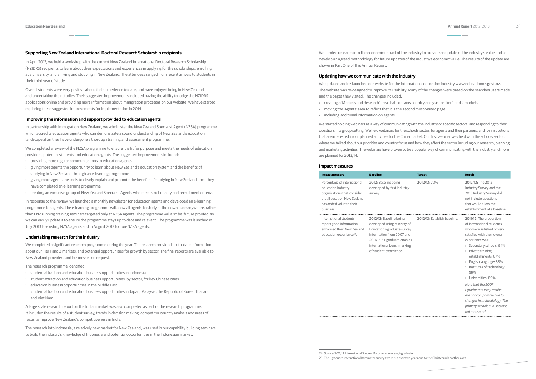# **Supporting New Zealand International Doctoral Research Scholarship recipients**

In April 2013, we held a workshop with the current New Zealand International Doctoral Research Scholarship (NZIDRS) recipients to learn about their expectations and experiences in applying for the scholarships, enrolling at a university, and arriving and studying in New Zealand. The attendees ranged from recent arrivals to students in their third year of study.

Overall students were very positive about their experience to date, and have enjoyed being in New Zealand and undertaking their studies. Their suggested improvements included having the ability to lodge the NZIDRS applications online and providing more information about immigration processes on our website. We have started exploring these suggested improvements for implementation in 2014.

## **Improving the information and support provided to education agents**

In partnership with Immigration New Zealand, we administer the New Zealand Specialist Agent (NZSA) programme which accredits education agents who can demonstrate a sound understanding of New Zealand's education landscape after they have undergone a thorough training and assessment programme.

We completed a review of the NZSA programme to ensure it is fit for purpose and meets the needs of education providers, potential students and education agents. The suggested improvements included:

- › providing more regular communications to education agents
- › giving more agents the opportunity to learn about New Zealand's education system and the benefits of studying in New Zealand through an e-learning programme
- › giving more agents the tools to clearly explain and promote the benefits of studying in New Zealand once they have completed an e-learning programme
- › creating an exclusive group of New Zealand Specialist Agents who meet strict quality and recruitment criteria.

In response to the review, we launched a monthly newsletter for education agents and developed an e-learning programme for agents. The e-learning programme will allow all agents to study at their own pace anywhere, rather than ENZ running training seminars targeted only at NZSA agents. The programme will also be 'future proofed' so we can easily update it to ensure the programme stays up to date and relevant. The programme was launched in July 2013 to existing NZSA agents and in August 2013 to non-NZSA agents.

# **Undertaking research for the industry**

We completed a significant research programme during the year. The research provided up-to-date information about our Tier 1 and 2 markets, and potential opportunities for growth by sector. The final reports are available to New Zealand providers and businesses on request.

The research programme identified:

- › student attraction and education business opportunities in Indonesia
- › student attraction and education business opportunities, by sector, for key Chinese cities
- › education business opportunities in the Middle East
- › student attraction and education business opportunities in Japan, Malaysia, the Republic of Korea, Thailand, and Viet Nam.

A large scale research report on the Indian market was also completed as part of the research programme. It included the results of a student survey, trends in decision making, competitor country analysis and areas of focus to improve New Zealand's competitiveness in India.

The research into Indonesia, a relatively new market for New Zealand, was used in our capability building seminars to build the industry's knowledge of Indonesia and potential opportunities in the Indonesian market.

We funded research into the economic impact of the industry to provide an update of the industry's value and to develop an agreed methodology for future updates of the industry's economic value. The results of the update are shown in Part One of this Annual Report.

## **Updating how we communicate with the industry**

We updated and re-launched our website for the international education industry www.educationnz.govt.nz. The website was re-designed to improve its usability. Many of the changes were based on the searches users made and the pages they visited. The changes included:

› creating a 'Markets and Research' area that contains country analysis for Tier 1 and 2 markets › moving the 'Agents' area to reflect that it is the second most-visited page

- 
- 
- › including additional information on agents.

We started holding webinars as a way of communicating with the industry or specific sectors, and responding to their questions in a group setting. We held webinars for the schools sector, for agents and their partners, and for institutions that are interested in our planned activities for the China market. Our first webinar was held with the schools sector, where we talked about our priorities and country focus and how they affect the sector including our research, planning and marketing activities. The webinars have proven to be a popular way of communicating with the industry and more are planned for 2013/14.

### **Impact measures**

. . . . . .

| <b>Impact measure</b>                                                                                                                                   | <b>Baseline</b>                                                                                                                                                                                                          | <b>Target</b>                | <b>Result</b>                                                                                                                                                                                                                                                                                                                                                                                                                                                                                           |
|---------------------------------------------------------------------------------------------------------------------------------------------------------|--------------------------------------------------------------------------------------------------------------------------------------------------------------------------------------------------------------------------|------------------------------|---------------------------------------------------------------------------------------------------------------------------------------------------------------------------------------------------------------------------------------------------------------------------------------------------------------------------------------------------------------------------------------------------------------------------------------------------------------------------------------------------------|
| Percentage of international<br>education industry<br>organisations that consider<br>that Education New Zealand<br>has added value to their<br>business. | 2012: Baseline being<br>developed by first industry<br>survey.                                                                                                                                                           | 2012/13:70%                  | 2012/13: The 2012<br>Industry Survey and the<br>2013 Industry Survey did<br>not include questions<br>that would allow the<br>establishment of a baseline.                                                                                                                                                                                                                                                                                                                                               |
| International students<br>report good information<br>enhanced their New Zealand<br>education experience <sup>24</sup> .                                 | 2012/13: Baseline being<br>developed using Ministry of<br>Education i-graduate survey<br>information from 2007 and<br>2011/12 <sup>25</sup> . I-graduate enables<br>international benchmarking<br>of student experience. | 2012/13: Establish baseline. | 2011/12: The proportion<br>of international students<br>who were satisfied or very<br>satisfied with their overall<br>experience was:<br>> Secondary schools: 94%<br>$\rightarrow$ Private training<br>establishments: 87%<br>$\frac{1}{2}$ English language: 88%<br>> Institutes of technology:<br>89%<br>> Universities: 89%.<br>Note that the 2007<br><i>i-graduate survey results</i><br>are not comparable due to<br>changes in methodology. The<br>primary schools sub-sector is<br>not measured. |

<sup>24</sup> Source: 2011/12 International Student Barometer surveys, i-graduate.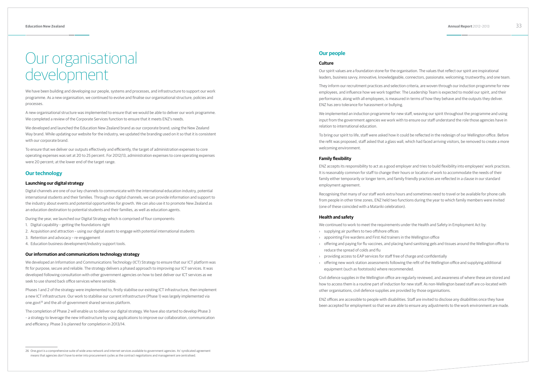# Our organisational development

We have been building and developing our people, systems and processes, and infrastructure to support our work programme. As a new organisation, we continued to evolve and finalise our organisational structure, policies and processes.

A new organisational structure was implemented to ensure that we would be able to deliver our work programme. We completed a review of the Corporate Services function to ensure that it meets ENZ's needs.

We developed and launched the Education New Zealand brand as our corporate brand; using the New Zealand Way brand. While updating our website for the industry, we updated the branding used on it so that it is consistent with our corporate brand.

To ensure that we deliver our outputs effectively and efficiently, the target of administration expenses to core operating expenses was set at 20 to 25 percent. For 2012/13, administration expenses to core operating expenses were 20 percent; at the lower end of the target range.

# **Our technology**

# **Launching our digital strategy**

Phases 1 and 2 of the strategy were implemented to, firstly stabilise our existing ICT infrastructure, then implement a new ICT infrastructure. Our work to stabilise our current infrastructure (Phase 1) was largely implemented via one.govt<sup>26</sup> and the all-of-government shared services platform.

Digital channels are one of our key channels to communicate with the international education industry, potential international students and their families. Through our digital channels, we can provide information and support to the industry about events and potential opportunities for growth. We can also use it to promote New Zealand as an education destination to potential students and their families, as well as education agents.

During the year, we launched our Digital Strategy which is comprised of four components:

- 1. Digital capability getting the foundations right
- 2. Acquisition and attraction using our digital assets to engage with potential international students
- 3. Retention and advocacy re-engagement
- 4. Education business development/industry support tools.

# **Our information and communications technology strategy**

We developed an Information and Communications Technology (ICT) Strategy to ensure that our ICT platform was fit for purpose, secure and reliable. The strategy delivers a phased approach to improving our ICT services. It was developed following consultation with other government agencies on how to best deliver our ICT services as we seek to use shared back office services where sensible.

The completion of Phase 2 will enable us to deliver our digital strategy. We have also started to develop Phase 3 – a strategy to leverage the new infrastructure by using applications to improve our collaboration, communication and efficiency. Phase 3 is planned for completion in 2013/14.

# **Our people**

# **Culture**

Our spirit values are a foundation stone for the organisation. The values that reflect our spirit are inspirational leaders, business savvy, innovative, knowledgeable, connectors, passionate, welcoming, trustworthy, and one team.

They inform our recruitment practices and selection criteria, are woven through our induction programme for new employees, and influence how we work together. The Leadership Team is expected to model our spirit, and their performance, along with all employees, is measured in terms of how they behave and the outputs they deliver. ENZ has zero tolerance for harassment or bullying.

We implemented an induction programme for new staff, weaving our spirit throughout the programme and using input from the government agencies we work with to ensure our staff understand the role those agencies have in relation to international education.

To bring our spirit to life, staff were asked how it could be reflected in the redesign of our Wellington office. Before the refit was proposed, staff asked that a glass wall, which had faced arriving visitors, be removed to create a more welcoming environment.

# **Family flexibility**

ENZ accepts its responsibility to act as a good employer and tries to build flexibility into employees' work practices. It is reasonably common for staff to change their hours or location of work to accommodate the needs of their family either temporarily or longer term, and family friendly practices are reflected in a clause in our standard employment agreement.

Recognising that many of our staff work extra hours and sometimes need to travel or be available for phone calls from people in other time zones, ENZ held two functions during the year to which family members were invited (one of these coincided with a Matariki celebration).

# **Health and safety**

We continued to work to meet the requirements under the Health and Safety in Employment Act by:

- › supplying air purifiers to two offshore offices
- appointing Fire wardens and First Aid trainers in the Wellington office › offering and paying for flu vaccines, and placing hand sanitising gels and tissues around the Wellington office to
- reduce the spread of colds and flu
- › providing access to EAP services for staff free of charge and confidentially
- › offering new work station assessments following the refit of the Wellington office and supplying additional equipment (such as footstools) where recommended.

Civil defence supplies in the Wellington office are regularly reviewed, and awareness of where these are stored and how to access them is a routine part of induction for new staff. As non-Wellington based staff are co-located with other organisations, civil defence supplies are provided by those organisations.

ENZ offices are accessible to people with disabilities. Staff are invited to disclose any disabilities once they have been accepted for employment so that we are able to ensure any adjustments to the work environment are made.

<sup>26</sup> One.govt is a comprehensive suite of wide area network and internet services available to government agencies. Its' syndicated agreement means that agencies don't have to enter into procurement cycles as the contract negotiations and management are centralised.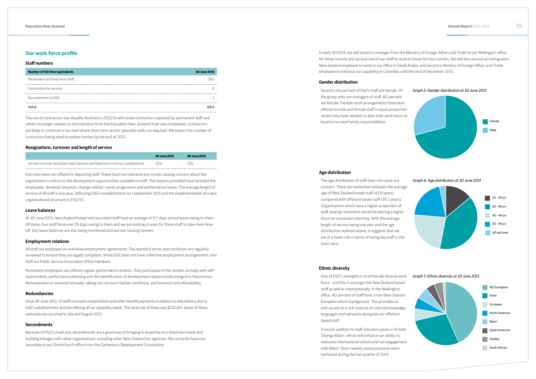# **Our work force profile**

### **Staff numbers**

| <b>Number of full-time equivalents</b> | 30 June 2013 |
|----------------------------------------|--------------|
| Permanent and fixed term staff         | 595          |
| Contractors for service                |              |
| Secondments to ENZ                     |              |
| Total                                  |              |

The use of contractors has steadily declined in 2012/13 with some contractors replaced by permanent staff and others no longer needed as the transition from the Education New Zealand Trust was completed. Contractors are likely to continue to be used where short term and/or specialist skills are required. We expect the number of contractors being used to reduce further by the end of 2013.

### **Resignations, turnover and length of service**

|                                                                             | 30 June 2012 | 30 June 2013 |
|-----------------------------------------------------------------------------|--------------|--------------|
| Annual turnover (excludes redundancies and fixed term contract completions) | 22%          | 13%          |

Exit interviews are offered to departing staff. These have not indicated any trends causing concern about the organisation's culture or the development opportunities available to staff. The reasons provided have included the employees' domestic situation, change related, career progression and performance issues. The average length of service of all staff is one year, reflecting ENZ's establishment on 1 September 2011 and the implementation of a new organisational structure in 2012/13.

# **Leave balances**

At 30 June 2013, New Zealand based and seconded staff have an average of 11.7 days annual leave owing to them. Of these, four staff have over 25 days owing to them and we are looking at ways for these staff to take more time off. Sick leave balances are also being monitored and are not causing concern.

# **Employment relations**

All staff are employed on individual employment agreements. The standard terms and conditions are regularly reviewed to ensure they are legally compliant. While ENZ does not have collective employment arrangements, two staff are Public Service Association (PSA) members.

Permanent employees are offered regular performance reviews. They participate in the reviews actively with selfassessments, performance planning and the identification of development opportunities integral to the process. Remuneration is reviewed annually, taking into account market conditions, performance and affordability.

## **Redundancies**

Since 30 June 2012, 10 staff received compensation and other benefit payments in relation to redundancy due to ENZ's establishment and the refining of our capability needs. The total cost of these was \$232,414. Seven of these redundancies occurred in July and August 2012.

# **Secondments**

Because of ENZ's small size, secondments are a good way of bringing in expertise on a fixed term basis and building linkages with other organisations, including other New Zealand Inc agencies. We currently have one secondee in our Christchurch office from the Canterbury Development Corporation.

In early 2013/14, we will second a manager from the Ministry of Foreign Affairs and Trade to our Wellington office for three months and second one of our staff to work in Oman for two months. We will also second an Immigration New Zealand employee to work in our office in Saudi Arabia, and second a Ministry of Foreign Affairs and Trade employee to enhance our capability in Colombia until the end of December 2013.

# **Gender distribution**

Seventy one percent of ENZ's staff are female. Of the group who are managers of staff, 60 percent are female. Flexible work arrangements have been offered to male and female staff in equal proportion where they have needed to alter their work hours or location to meet family responsibilities.

### **Age distribution**



*Graph 6: Age distribution at 30 June 2013*

The age distribution of staff does not cause any concern. There are similarities between the average age of New Zealand based staff (42.9 years) compared with offshore based staff (39.2 years). Organisations which have a higher proportion of staff nearing retirement would be placing a higher focus on succession planning. With the average length of service being one year and the age distribution outlined above, it suggests that we are at a lower risk in terms of losing key staff in the short term.



# **Ethnic diversity**

One of ENZ's strengths is its ethnically diverse work force – and this is amongst the New Zealand based staff as well as internationally. In the Wellington office, 40 percent of staff have a non-New Zealand European ethnic background. This provides us with access to a rich mixture of cultural knowledge, languages and networks alongside our offshore based staff.

A recent addition to staff induction packs is Te Kete Tikanga Māori, which will enhance our ability to welcome international visitors and our engagement with Māori. Short weekly waiata practices were instituted during the last quarter of 2013.

*Graph 7: Ethnic diversity at 30 June 2013*

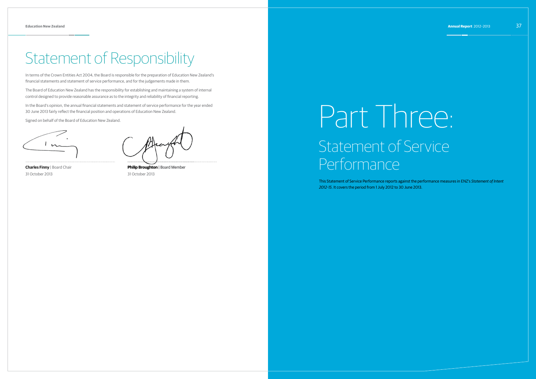# Statement of Responsibility

In terms of the Crown Entities Act 2004, the Board is responsible for the preparation of Education New Zealand's financial statements and statement of service performance, and for the judgements made in them.

The Board of Education New Zealand has the responsibility for establishing and maintaining a system of internal control designed to provide reasonable assurance as to the integrity and reliability of financial reporting.

In the Board's opinion, the annual financial statements and statement of service performance for the year ended 30 June 2013 fairly reflect the financial position and operations of Education New Zealand.

Signed on behalf of the Board of Education New Zealand.

**Charles Finny** | Board Chair 31 October 2013

**Philip Broughton** | Board Member 31 October 2013

# Part Three: Statement of Service Performance

This Statement of Service Performance reports against the performance measures in ENZ's *Statement of Intent 2012-15*. It covers the period from 1 July 2012 to 30 June 2013.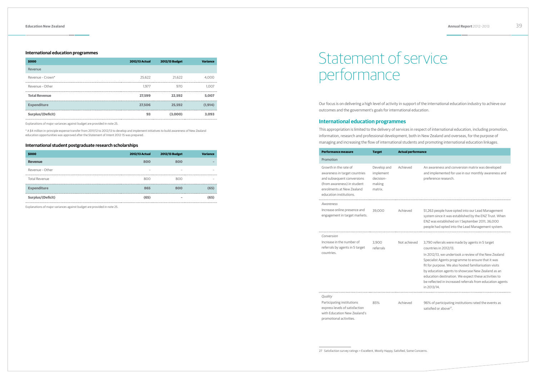# **International education programmes**

| \$000                | <b>2012/13 Actual</b> | 2012/13 Budget | <b>Variance</b> |
|----------------------|-----------------------|----------------|-----------------|
| Revenue              |                       |                |                 |
| Revenue - Crown*     | 25.622                | 21.622         | 4.000           |
| Revenue - Other      | 1.977                 | 970            | 1.007           |
| <b>Total Revenue</b> | 27.599                | 22.592         | 5.007           |
| <b>Expenditure</b>   | 27.506                | 25.592         | (1.914)         |
| Surplus/(Deficit)    | 93                    | (3,000)        | 3.093           |

Explanations of major variances against budget are provided in note 25.

\* A \$4 million in-principle expense transfer from 2011/12 to 2012/13 to develop and implement initiatives to build awareness of New Zealand education opportunities was approved after the Statement of Intent 2012-15 was prepared.

# **International student postgraduate research scholarships**

| \$000                      | <b>2012/13 Actual</b>    | 2012/13 Budget | <b>Variance</b> |
|----------------------------|--------------------------|----------------|-----------------|
| <b>Revenue</b>             | 800                      | 800            |                 |
| Revenue - Other            | $\overline{\phantom{a}}$ |                |                 |
| <b>Total Revenue</b>       | 800                      | 800            |                 |
| <br><b>Expenditure</b><br> | 865                      | 800            | (65)            |
| Surplus/(Deficit)          | (65)                     |                | (65)            |

Explanations of major variances against budget are provided in note 25.

27 Satisfaction survey ratings = Excellent, Mostly Happy, Satisfied, Some Concerns.

Our focus is on delivering a high level of activity in support of the international education industry to achieve our outcomes and the government's goals for international education.

# **International education programmes**

This appropriation is limited to the delivery of services in respect of international education, including promotion, information, research and professional development, both in New Zealand and overseas, for the purpose of managing and increasing the flow of international students and promoting international education linkages.

| <b>Performance measure</b>                                                                                                                                                  | <b>Target</b>                                              | <b>Actual performance</b> |                                                                                                                                                                                                                                                                                                                                                              |
|-----------------------------------------------------------------------------------------------------------------------------------------------------------------------------|------------------------------------------------------------|---------------------------|--------------------------------------------------------------------------------------------------------------------------------------------------------------------------------------------------------------------------------------------------------------------------------------------------------------------------------------------------------------|
| Promotion                                                                                                                                                                   |                                                            |                           |                                                                                                                                                                                                                                                                                                                                                              |
| Growth in the rate of<br>awareness in target countries<br>and subsequent conversions<br>(from awareness) in student<br>enrolments at New Zealand<br>education institutions. | Develop and<br>implement<br>decision-<br>making<br>matrix. | Achieved                  | An awareness and conversion matrix was developed<br>and implemented for use in our monthly awareness and<br>preference research.                                                                                                                                                                                                                             |
| Awareness                                                                                                                                                                   |                                                            |                           |                                                                                                                                                                                                                                                                                                                                                              |
| Increase online presence and<br>engagement in target markets.                                                                                                               | 39.000                                                     | Achieved                  | 51,263 people have opted into our Lead Management<br>system since it was established by the ENZ Trust. When<br>ENZ was established on 1 September 2011, 36,000<br>people had opted into the Lead Management system.                                                                                                                                          |
| Conversion                                                                                                                                                                  |                                                            |                           |                                                                                                                                                                                                                                                                                                                                                              |
| Increase in the number of<br>referrals by agents in 5 target                                                                                                                | 3.900<br>referrals                                         | Not achieved              | 3,790 referrals were made by agents in 5 target<br>countries in 2012/13.                                                                                                                                                                                                                                                                                     |
| countries.                                                                                                                                                                  |                                                            |                           | In 2012/13, we undertook a review of the New Zealand<br>Specialist Agents programme to ensure that it was<br>fit for purpose. We also hosted familiarisation visits<br>by education agents to showcase New Zealand as an<br>education destination. We expect these activities to<br>be reflected in increased referrals from education agents<br>in 2013/14. |
| Quality                                                                                                                                                                     |                                                            |                           |                                                                                                                                                                                                                                                                                                                                                              |
| Participating institutions<br>express levels of satisfaction                                                                                                                | 85%                                                        | Achieved                  | 96% of participating institutions rated the events as<br>satisfied or above <sup>27</sup> .                                                                                                                                                                                                                                                                  |

| . . <i>.</i>                   |           |
|--------------------------------|-----------|
| ncrease in the number of       | 3.900     |
| eferrals by agents in 5 target | referrals |
| :ountries.                     |           |

with Education New Zealand's promotional activities.

# Statement of service performance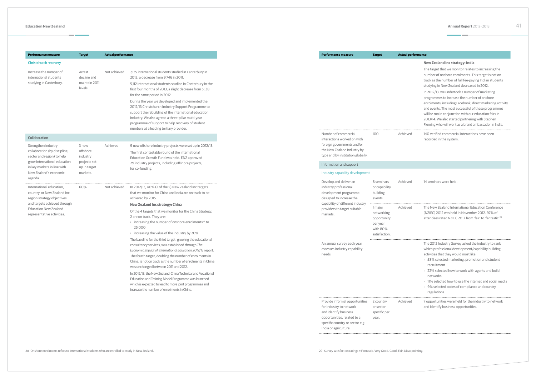| <b>Performance measure</b>                                                         | <b>Target</b>                 | <b>Actual performance</b> |                                                                                                                                                                                                                                                                                                                                                 |
|------------------------------------------------------------------------------------|-------------------------------|---------------------------|-------------------------------------------------------------------------------------------------------------------------------------------------------------------------------------------------------------------------------------------------------------------------------------------------------------------------------------------------|
| Christchurch recovery                                                              |                               |                           |                                                                                                                                                                                                                                                                                                                                                 |
| Increase the number of<br>international students                                   | Arrest<br>decline and         | Not achieved              | 7,135 international students studied in Canterbury in<br>2012, a decrease from 9,746 in 2011.                                                                                                                                                                                                                                                   |
| studying in Canterbury.                                                            | maintain 2011<br>levels.      |                           | 5,112 international students studied in Canterbury in the<br>first four months of 2013, a slight decrease from 5,138<br>for the same period in 2012.                                                                                                                                                                                            |
|                                                                                    |                               |                           | During the year we developed and implemented the<br>2012/13 Christchurch Industry Support Programme to<br>support the rebuilding of the international education<br>industry. We also agreed a three-pillar multi-year<br>programme of support to help recovery of student<br>numbers at a leading tertiary provider.                            |
| Collaboration                                                                      |                               |                           |                                                                                                                                                                                                                                                                                                                                                 |
| Strengthen industry<br>collaboration (by discipline,<br>sector and region) to help | 3 new<br>offshore<br>industry | Achieved                  | 9 new offshore industry projects were set up in 2012/13.<br>The first contestable round of the International<br>Education Growth Fund was held. ENZ approved                                                                                                                                                                                    |
| grow international education<br>in key markets in line with                        | projects set<br>up in target  |                           | 29 industry projects, including offshore projects,<br>for co-funding.                                                                                                                                                                                                                                                                           |
| New Zealand's economic<br>agenda.                                                  | markets.                      |                           |                                                                                                                                                                                                                                                                                                                                                 |
| International education,                                                           | 60%                           | Not achieved              | In 2012/13, 40% (2 of the 5) New Zealand Inc targets<br>that we monitor for China and India are on track to be                                                                                                                                                                                                                                  |
| country, or New Zealand Inc<br>region strategy objectives                          |                               |                           | achieved by 2015.                                                                                                                                                                                                                                                                                                                               |
| and targets achieved through<br><b>Education New Zealand</b>                       |                               |                           | <b>New Zealand Inc strategy: China</b>                                                                                                                                                                                                                                                                                                          |
| representative activities.                                                         |                               |                           | Of the 4 targets that we monitor for the China Strategy,<br>2 are on track. They are:<br>> increasing the number of onshore enrolments <sup>28</sup> to<br>25,000<br>$\rightarrow$ increasing the value of the industry by 20%.                                                                                                                 |
|                                                                                    |                               |                           | The baseline for the third target, growing the educational<br>consultancy services, was established through The<br>Economic Impact of International Education 2012/13 report.<br>The fourth target, doubling the number of enrolments in<br>China, is not on track as the number of enrolments in China<br>was unchanged between 2011 and 2012. |
|                                                                                    |                               |                           | In 2012/13, the New Zealand-China Technical and Vocational<br>Education and Training Model Programme was launched<br>which is expected to lead to more joint programmes and<br>increase the number of enrolments in China.                                                                                                                      |

The target that we monitor relates to increasing the number of onshore enrolments. This target is not on track as the number of full fee-paying Indian students studying in New Zealand decreased in 2012. In 2012/13, we undertook a number of marketing programmes to increase the number of onshore enrolments, including Facebook, direct marketing activity and events. The most successful of these programmes will be run in conjunction with our education fairs in 2013/14. We also started partnering with Stephen Fleming who will work as a brand ambassador in India. Achieved 140 verified commercial interactions have been

# **Performance measure Target Actual performance**

|  | <b>New Zealand Inc strategy: India</b> |  |  |  |
|--|----------------------------------------|--|--|--|
|--|----------------------------------------|--|--|--|

recorded in the system.

| Achieved | 14 seminars were held.                                                                                                  |
|----------|-------------------------------------------------------------------------------------------------------------------------|
|          |                                                                                                                         |
| Achieved | The New Zealand International Education Conference                                                                      |
|          | (NZIEC) 2012 was held in November 2012. 97% of<br>attendees rated NZIEC 2012 from 'fair' to 'fantastic' <sup>29</sup> . |
|          |                                                                                                                         |
|          | The 2012 Industry Survey asked the industry to rank                                                                     |
|          | which professional development/capability building<br>activities that they would most like:                             |
|          | > 58% selected marketing, promotion and student<br>recruitment                                                          |
|          | > 22% selected how to work with agents and build<br>networks                                                            |
|          | > 11% selected how to use the internet and social media                                                                 |
|          | > 9% selected codes of compliance and country<br>regulations.                                                           |
| Achieved | 7 opportunities were held for the industry to network<br>and identify business opportunities.                           |
|          |                                                                                                                         |

for industry to network and identify business opportunities, related to a specific country or sector e.g.

Provide informal opportunities 2 country

India or agriculture.

or sector specific per year.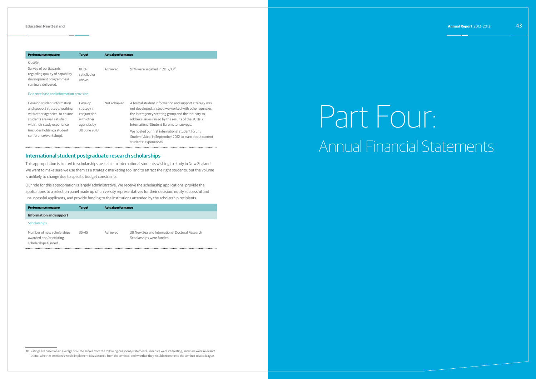**Performance measure Target Actual performance**

*Quality* Survey of participants regarding quality of capability development programmes/ seminars delivered. 80% satisfied or above. Achieved 91% were satisfied in 2012/13<sup>30</sup>.

### Evidence base and information provision

| Develop student information    | Develop       | Not achieved | A formal student information and support strategy was   |
|--------------------------------|---------------|--------------|---------------------------------------------------------|
| and support strategy, working  | strategy in   |              | not developed. Instead we worked with other agencies,   |
| with other agencies, to ensure | conjunction   |              | the interagency steering group and the industry to      |
| students are well satisfied    | with other    |              | address issues raised by the results of the 2011/12     |
| with their study experience    | agencies by   |              | International Student Barometer surveys.                |
| (includes holding a student    | 30 June 2013. |              | We hosted our first international student forum.        |
| conference/workshop).          |               |              | Student Voice, in September 2012 to learn about current |
|                                |               |              | students' experiences.                                  |

# **International student postgraduate research scholarships**

This appropriation is limited to scholarships available to international students wishing to study in New Zealand. We want to make sure we use them as a strategic marketing tool and to attract the right students, but the volume is unlikely to change due to specific budget constraints.

Our role for this appropriation is largely administrative. We receive the scholarship applications, provide the applications to a selection panel made up of university representatives for their decision, notify successful and unsuccessful applicants, and provide funding to the institutions attended by the scholarship recipients.

| Performance measure                                                           | <b>Target</b> | <b>Actual performance</b> |                                                                             |
|-------------------------------------------------------------------------------|---------------|---------------------------|-----------------------------------------------------------------------------|
| <b>Information and support</b>                                                |               |                           |                                                                             |
| <b>Scholarships</b>                                                           |               |                           |                                                                             |
| Number of new scholarships<br>awarded and/or existing<br>scholarships funded. | $35 - 45$     | Achieved                  | 39 New Zealand International Doctoral Research<br>Scholarships were funded. |

30 Ratings are based on an average of all the scores from the following questions/statements: seminars were interesting; seminars were relevant/ useful; whether attendees would implement ideas learned from the seminar; and whether they would recommend the seminar to a colleague.

# Part Four: Annual Financial Statements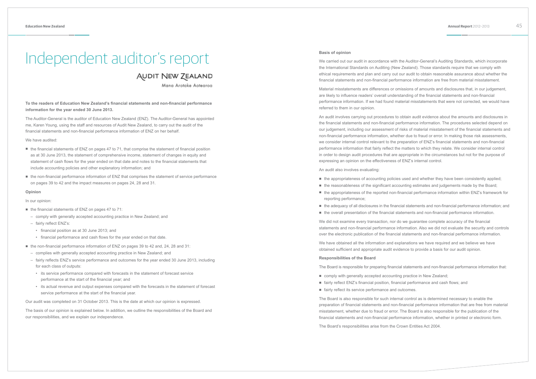# Independent auditor's report **Basis of opinion**

# **AUDIT NEW ZEALAND**

Mana Arotake Aotearoa

# **To the readers of Education New Zealand's financial statements and non-financial performance information for the year ended 30 June 2013.**

The Auditor-General is the auditor of Education New Zealand (ENZ). The Auditor-General has appointed me, Karen Young, using the staff and resources of Audit New Zealand, to carry out the audit of the financial statements and non-financial performance information of ENZ on her behalf.

# We have audited:

- the financial statements of ENZ on pages 47 to 71, that comprise the statement of financial position as at 30 June 2013, the statement of comprehensive income, statement of changes in equity and statement of cash flows for the year ended on that date and notes to the financial statements that include accounting policies and other explanatory information; and
- the non-financial performance information of ENZ that comprises the statement of service performance on pages 39 to 42 and the impact measures on pages 24, 28 and 31.

- the financial statements of ENZ on pages 47 to 71:
	- comply with generally accepted accounting practice in New Zealand; and
	- fairly reflect ENZ's:
	- financial position as at 30 June 2013; and
	- financial performance and cash flows for the year ended on that date.
- the non-financial performance information of ENZ on pages 39 to 42 and, 24, 28 and 31:
	- complies with generally accepted accounting practice in New Zealand; and
	- fairly reflects ENZ's service performance and outcomes for the year ended 30 June 2013, including for each class of outputs:
	- its service performance compared with forecasts in the statement of forecast service performance at the start of the financial year; and
	- its actual revenue and output expenses compared with the forecasts in the statement of forecast service performance at the start of the financial year.

# **Opinion**

In our opinion:

Our audit was completed on 31 October 2013. This is the date at which our opinion is expressed.

The basis of our opinion is explained below. In addition, we outline the responsibilities of the Board and our responsibilities, and we explain our independence.

We carried out our audit in accordance with the Auditor-General's Auditing Standards, which incorporate the International Standards on Auditing (New Zealand). Those standards require that we comply with ethical requirements and plan and carry out our audit to obtain reasonable assurance about whether the financial statements and non-financial performance information are free from material misstatement.

Material misstatements are differences or omissions of amounts and disclosures that, in our judgement, are likely to influence readers' overall understanding of the financial statements and non-financial performance information. If we had found material misstatements that were not corrected, we would have referred to them in our opinion.

An audit involves carrying out procedures to obtain audit evidence about the amounts and disclosures in the financial statements and non-financial performance information. The procedures selected depend on our judgement, including our assessment of risks of material misstatement of the financial statements and non-financial performance information, whether due to fraud or error. In making those risk assessments, we consider internal control relevant to the preparation of ENZ's financial statements and non-financial performance information that fairly reflect the matters to which they relate. We consider internal control in order to design audit procedures that are appropriate in the circumstances but not for the purpose of expressing an opinion on the effectiveness of ENZ's internal control.

An audit also involves evaluating:

- 
- 
- reporting performance;
- 
- 

We did not examine every transaction, nor do we guarantee complete accuracy of the financial statements and non-financial performance information. Also we did not evaluate the security and controls over the electronic publication of the financial statements and non-financial performance information.

We have obtained all the information and explanations we have required and we believe we have obtained sufficient and appropriate audit evidence to provide a basis for our audit opinion.

# **Responsibilities of the Board**

The Board is responsible for preparing financial statements and non-financial performance information that:

- comply with generally accepted accounting practice in New Zealand;
- fairly reflect ENZ's financial position, financial performance and cash flows; and
- fairly reflect its service performance and outcomes.

The Board is also responsible for such internal control as is determined necessary to enable the preparation of financial statements and non-financial performance information that are free from material misstatement, whether due to fraud or error. The Board is also responsible for the publication of the financial statements and non-financial performance information, whether in printed or electronic form.

The Board's responsibilities arise from the Crown Entities Act 2004.

■ the appropriateness of accounting policies used and whether they have been consistently applied; ■ the reasonableness of the significant accounting estimates and judgements made by the Board; ■ the appropriateness of the reported non-financial performance information within ENZ's framework for

■ the adequacy of all disclosures in the financial statements and non-financial performance information; and ■ the overall presentation of the financial statements and non-financial performance information.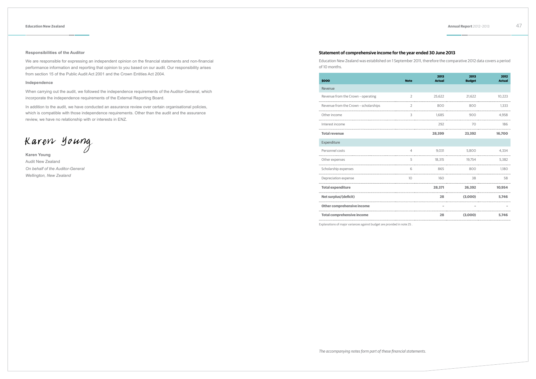# **Responsibilities of the Auditor**

We are responsible for expressing an independent opinion on the financial statements and non-financial performance information and reporting that opinion to you based on our audit. Our responsibility arises from section 15 of the Public Audit Act 2001 and the Crown Entities Act 2004.

# **Independence**

When carrying out the audit, we followed the independence requirements of the Auditor-General, which incorporate the independence requirements of the External Reporting Board.

In addition to the audit, we have conducted an assurance review over certain organisational policies, which is compatible with those independence requirements. Other than the audit and the assurance review, we have no relationship with or interests in ENZ.

Karen Young

**Karen Young** Audit New Zealand *On behalf of the Auditor-General Wellington, New Zealand*

*The accompanying notes form part of these financial statements.*

# **Statement of comprehensive income for the year ended 30 June 2013**

Education New Zealand was established on 1 September 2011, therefore the comparative 2012 data covers a period of 10 months.

| \$000                                 | <b>Note</b>     | 2013<br><b>Actual</b> | 2013<br><b>Budget</b> | 2012<br><b>Actual</b> |
|---------------------------------------|-----------------|-----------------------|-----------------------|-----------------------|
| Revenue                               |                 |                       |                       |                       |
| Revenue from the Crown - operating    | $\overline{2}$  | 25,622                | 21,622                | 10,223                |
| Revenue from the Crown - scholarships | 2               | 800                   | 800                   | 1.333                 |
| Other income                          | 3               | 1.685                 | 900                   | 4.958                 |
| Interest income                       |                 | 292                   | 70                    | 186                   |
| <b>Total revenue</b>                  |                 | 28,399                | 23,392                | 16.700                |
| Expenditure                           |                 |                       |                       |                       |
| Personnel costs                       | $\overline{4}$  | 9.031                 | 5.800                 | 4.334                 |
| Other expenses                        | 5               | 18,315                | 19.754                | 5,382                 |
| Scholarship expenses                  | 6               | 865                   | 800                   | 1.180                 |
| Depreciation expense                  | 10 <sup>1</sup> | 160                   | 38                    | 58                    |
| <b>Total expenditure</b>              |                 | 28.371                | 26.392                | 10.954                |
| Net surplus/(deficit)                 |                 | 28                    | (3,000)               | 5.746                 |
| Other comprehensive income            |                 |                       |                       |                       |
| Total comprehensive income            |                 | 28                    | (3.000)               | 5 746 -               |

| \$000                                                                   | <b>Note</b>    | 2013<br><b>Actual</b> | 2013<br><b>Budget</b> | 2012<br>Actual |
|-------------------------------------------------------------------------|----------------|-----------------------|-----------------------|----------------|
| Revenue                                                                 |                |                       |                       |                |
| Revenue from the Crown - operating                                      | $\overline{2}$ | 25.622                | 21.622                | 10.223         |
| Revenue from the Crown - scholarships                                   | $\mathcal{L}$  | 800                   | 800                   | 1.333          |
| Other income                                                            | $\mathcal{L}$  | 1.685                 |                       | 900 4.958      |
| Interest income                                                         |                | 292                   | 70                    | 186            |
| <b>Total revenue</b>                                                    |                | 28.399                | 23.392                | 16.700         |
| Expenditure                                                             |                |                       |                       |                |
| Personnel costs                                                         | $\Delta$       | 9.031                 | 5.800                 | 4.334          |
| Other expenses                                                          | 5              |                       | 18,315 19,754         | 5,382          |
| Scholarship expenses                                                    | 6              | 865                   | 800                   | 1.180          |
| Depreciation expense                                                    | 10             | 160                   | 38                    | - 58           |
| <b>Total expenditure</b>                                                |                |                       | 28.371 26.392 10.954  |                |
| Net surplus/(deficit)                                                   |                |                       | 28 (3.000)            | 5.746          |
| Other comprehensive income                                              |                |                       |                       |                |
| <b>Total comprehensive income</b>                                       |                |                       | 28 (3,000) 5,746      |                |
|                                                                         |                |                       |                       |                |
| Explanations of major variances against budget are provided in note 25. |                |                       |                       |                |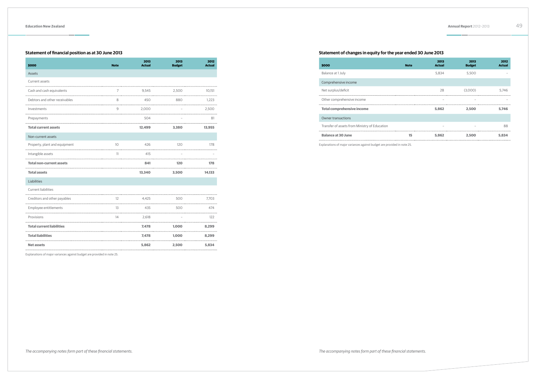# **Statement of financial position as at 30 June 2013**

| \$000                            | <b>Note</b>       | 2013<br><b>Actual</b> | 2013<br><b>Budget</b> | 2012<br><b>Actual</b> |
|----------------------------------|-------------------|-----------------------|-----------------------|-----------------------|
| Assets                           |                   |                       |                       |                       |
| Current assets                   |                   |                       |                       |                       |
| Cash and cash equivalents        | 7                 | 9.545                 | 2.500                 | 10,151                |
| Debtors and other receivables    | 8                 | 450                   | 880                   | 1.223                 |
| Investments                      | 9                 | 2,000                 |                       | 2,500                 |
| Prepayments                      |                   | 504                   |                       | 81                    |
| <b>Total current assets</b>      |                   | 12,499                | 3,380                 | 13,955                |
| Non-current assets               |                   |                       |                       |                       |
| Property, plant and equipment    | 10 <sup>°</sup>   | 426                   | 120                   | 178                   |
| Intangible assets                | 11                | 415                   |                       |                       |
| <b>Total non-current assets</b>  |                   | 841                   | 120                   | 178                   |
| <b>Total assets</b>              |                   | 13,340                | 3,500                 | 14,133                |
| Liabilities                      |                   |                       |                       |                       |
| <b>Current liabilities</b>       |                   |                       |                       |                       |
| Creditors and other payables     | $12 \overline{ }$ | 4.425                 | 500                   | 7,703                 |
| Employee entitlements            | 13                | 435                   | 500                   | 474                   |
| Provisions                       | 14                | 2.618                 |                       | 122                   |
| <b>Total current liabilities</b> |                   | 7.478                 | 1.000                 | 8.299                 |
| <b>Total liabilities</b>         |                   | 7.478                 | 1.000                 | 8.299                 |
| <b>Net assets</b>                |                   | 5,862                 | 2,500                 | 5,834                 |

# **\$000 Note** Balance at 1 July Comprehensive income Net surplus/deficit Other comprehensive income

Explanations of major variances against budget are provided in note 25.

# **Statement of changes in equity for the year ended 30 June 2013**

| <b>Note</b> | 2013<br><b>Actual</b> | 2013<br><b>Budget</b> | 2012<br><b>Actual</b> |
|-------------|-----------------------|-----------------------|-----------------------|
|             | 5,834                 | 5,500                 |                       |
|             |                       |                       |                       |
|             | 28                    | (3,000)               | 5,746                 |
|             |                       |                       |                       |
|             | 5,862                 | 2,500                 | 5,746                 |
|             |                       |                       |                       |
|             |                       |                       | 88                    |
| 15          | 5,862                 | 2,500                 | 5,834                 |
|             |                       |                       |                       |

**Total comprehensive income 5,862 2,500 5,746**

# Owner transactions

Transfer of assets from Ministry of Education

## **Balance at 30 June**

Explanations of major variances against budget are provided in note 25.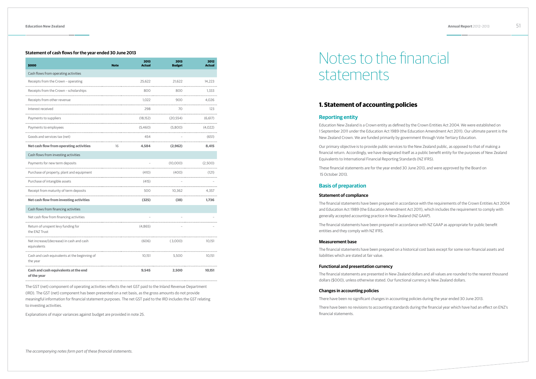# **Statement of cash flows for the year ended 30 June 2013**

| \$000                                                     | <b>Note</b> | 2013<br><b>Actual</b> | 2013<br><b>Budget</b> | 2012<br><b>Actual</b> |
|-----------------------------------------------------------|-------------|-----------------------|-----------------------|-----------------------|
| Cash flows from operating activities                      |             |                       |                       |                       |
| Receipts from the Crown - operating                       |             | 25,622                | 21,622                | 14,223                |
| Receipts from the Crown - scholarships                    |             | 800                   | 800                   | 1.333                 |
| Receipts from other revenue                               |             | 1.022                 | 900                   | 4,026                 |
| Interest received                                         |             | 298                   | 70                    | 123                   |
| Payments to suppliers                                     |             | (18.152)              | (20.554)              | (6.617)               |
| Payments to employees                                     |             | (5,460)               | (5,800)               | (4,022)               |
| Goods and services tax (net)                              |             | 454                   |                       | (651)                 |
| Net cash flow from operating activities                   | 16          | 4,584                 | (2,962)               | 8,415                 |
| Cash flows from investing activities                      |             |                       |                       |                       |
| Payments for new term deposits                            |             |                       | (10,000)              | (2,500)               |
| Purchase of property, plant and equipment                 |             | (410)                 | (400)                 | (121)                 |
| Purchase of intangible assets                             |             | (415)                 |                       |                       |
| Receipt from maturity of term deposits                    |             | 500                   | 10.362                | 4.357                 |
| <b>Net cash flow from investing activities</b>            |             | (325)                 | (38)                  | 1.736                 |
| Cash flows from financing activities                      |             |                       |                       |                       |
| Net cash flow from financing activities                   |             |                       |                       |                       |
| Return of unspent levy funding for<br>the ENZ Trust       |             | (4,865)               |                       |                       |
| Net increase/(decrease) in cash and cash<br>equivalents   |             | (606)                 | (3,000)               | 10,151                |
| Cash and cash equivalents at the beginning of<br>the year |             | 10,151                | 5,500                 | 10,151                |
| Cash and cash equivalents at the end<br>of the year       |             | 9,545                 | 2,500                 | 10,151                |

The GST (net) component of operating activities reflects the net GST paid to the Inland Revenue Department (IRD). The GST (net) component has been presented on a net basis, as the gross amounts do not provide meaningful information for financial statement purposes. The net GST paid to the IRD includes the GST relating to investing activities.

Explanations of major variances against budget are provided in note 25.

# **1. Statement of accounting policies**

# **Reporting entity**

Education New Zealand is a Crown entity as defined by the Crown Entities Act 2004. We were established on 1 September 2011 under the Education Act 1989 (the Education Amendment Act 2011). Our ultimate parent is the New Zealand Crown. We are funded primarily by government through Vote Tertiary Education.

Our primary objective is to provide public services to the New Zealand public, as opposed to that of making a financial return. Accordingly, we have designated itself as a public benefit entity for the purposes of New Zealand Equivalents to International Financial Reporting Standards (NZ IFRS).

These financial statements are for the year ended 30 June 2013, and were approved by the Board on 15 October 2013.

# **Basis of preparation**

# **Statement of compliance**

The financial statements have been prepared in accordance with the requirements of the Crown Entities Act 2004 and Education Act 1989 (the Education Amendment Act 2011), which includes the requirement to comply with generally accepted accounting practice in New Zealand (NZ GAAP).

The financial statements have been prepared in accordance with NZ GAAP as appropriate for public benefit entities and they comply with NZ IFRS.

# **Measurement base**

The financial statements have been prepared on a historical cost basis except for some non-financial assets and liabilities which are stated at fair value.

# **Functional and presentation currency**

The financial statements are presented in New Zealand dollars and all values are rounded to the nearest thousand dollars (\$000), unless otherwise stated. Our functional currency is New Zealand dollars.

# **Changes in accounting policies**

There have been no significant changes in accounting policies during the year ended 30 June 2013.

There have been no revisions to accounting standards during the financial year which have had an effect on ENZ's financial statements.

# Notes to the financial statements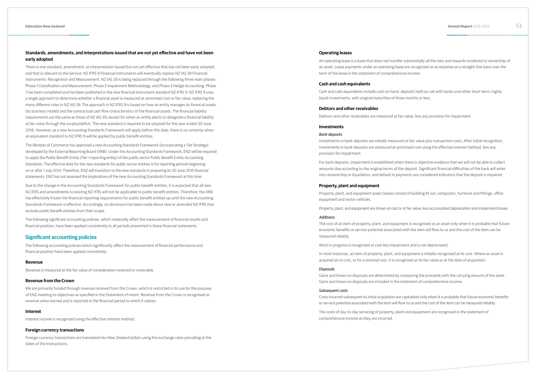# **Standards, amendments, and interpretations issued that are not yet effective and have not been early adopted**

There is one standard, amendment, or interpretation issued but not yet effective that has not been early adopted, and that is relevant to the Service. NZ IFRS 9 Financial Instruments will eventually replace NZ IAS 39 Financial Instruments: Recognition and Measurement. NZ IAS 39 is being replaced through the following three main phases: Phase 1 Classification and Measurement, Phase 2 Impairment Methodology, and Phase 3 Hedge Accounting. Phase 1 has been completed and has been published in the new financial instrument standard NZ IFRS 9. NZ IFRS 9 uses a single approach to determine whether a financial asset is measured at amortised cost or fair value, replacing the many different rules in NZ IAS 39. The approach in NZ IFRS 9 is based on how an entity manages its financial assets (its business model) and the contractual cash flow characteristics of the financial assets. The financial liability requirements are the same as those of NZ IAS 39, except for when an entity elects to designate a financial liability at fair value through the surplus/deficit. The new standard is required to be adopted for the year ended 30 June 2016. However, as a new Accounting Standards Framework will apply before this date, there is no certainty when an equivalent standard to NZ IFRS 9 will be applied by public benefit entities.

The Minister of Commerce has approved a new Accounting Standards Framework (incorporating a Tier Strategy) developed by the External Reporting Board (XRB). Under this Accounting Standards Framework, ENZ will be required to apply the Public Benefit Entity (Tier 1 reporting entity) of the public sector Public Benefit Entity Accounting Standards. The effective date for the new standards for public sector entities is for reporting periods beginning on or after 1 July 2014. Therefore, ENZ will transition to the new standards in preparing its 30 June 2015 financial statements. ENZ has not assessed the implications of the new Accounting Standards Framework at this time.

Due to the change in the Accounting Standards Framework for public benefit entities, it is expected that all new NZ IFRS and amendments to existing NZ IFRS will not be applicable to public benefit entities. Therefore, the XRB has effectively frozen the financial reporting requirements for public benefit entities up until the new Accounting Standards Framework is effective. Accordingly, no disclosure has been made about new or amended NZ IFRS that exclude public benefit entities from their scope.

The following significant accounting policies, which materially affect the measurement of financial results and financial position, have been applied consistently to all periods presented in these financial statements.

# **Significant accounting policies**

The following accounting policies which significantly affect the measurement of financial performance and financial position have been applied consistently.

# **Revenue**

Revenue is measured at the fair value of consideration received or receivable.

# **Revenue from the Crown**

We are primarily funded through revenue received from the Crown, which is restricted in its use for the purpose of ENZ meeting its objectives as specified in the Statement of Intent. Revenue from the Crown is recognised as revenue when earned and is reported in the financial period to which it relates.

# **Interest**

Interest income is recognised using the effective interest method.

# **Foreign currency transactions**

Foreign currency transactions are translated into New Zealand dollars using the exchange rates prevailing at the dates of the transactions.

# **Operating leases**

An operating lease is a lease that does not transfer substantially all the risks and rewards incidental to ownership of an asset. Lease payments under an operating lease are recognised as an expense on a straight-line basis over the term of the lease in the statement of comprehensive income.

# **Cash and cash equivalents**

Cash and cash equivalents include cash on hand, deposits held on call with banks and other short-term, highly liquid investments, with original maturities of three months or less.

# **Debtors and other receivables**

Debtors and other receivables are measured at fair value, less any provision for impairment.

# **Investments**

### *Bank deposits*

Investments in bank deposits are initially measured at fair value plus transaction costs. After initial recognition, investments in bank deposits are measured at amortised cost using the effective interest method, less any provision for impairment.

For bank deposits, impairment is established when there is objective evidence that we will not be able to collect amounts due according to the original terms of the deposit. Significant financial difficulties of the bank will enter into receivership or liquidation, and default in payments are considered indicators that the deposit is impaired.

# **Property, plant and equipment**

Property, plant, and equipment asset classes consist of building fit out, computers, furniture and fittings, office equipment and motor vehicles.

Property, plant, and equipment are shown at cost or at fair value, less accumulated depreciation and impairment losses.

# *Additions*

The cost of an item of property, plant, and equipment is recognised as an asset only when it is probable that future economic benefits or service potential associated with the item will flow to us and the cost of the item can be measured reliably.

Work in progress is recognised at cost less impairment and is not depreciated.

In most instances, an item of property, plant, and equipment is initially recognised at its cost. Where an asset is acquired at no cost, or for a nominal cost, it is recognised at its fair value as at the date of acquisition.

# *Disposals*

Gains and losses on disposals are determined by comparing the proceeds with the carrying amount of the asset. Gains and losses on disposals are included in the statement of comprehensive income.

### *Subsequent costs*

Costs incurred subsequent to initial acquisition are capitalised only when it is probable that future economic benefits or service potential associated with the item will flow to us and the cost of the item can be measured reliably.

The costs of day-to-day servicing of property, plant and equipment are recognised in the statement of comprehensive income as they are incurred.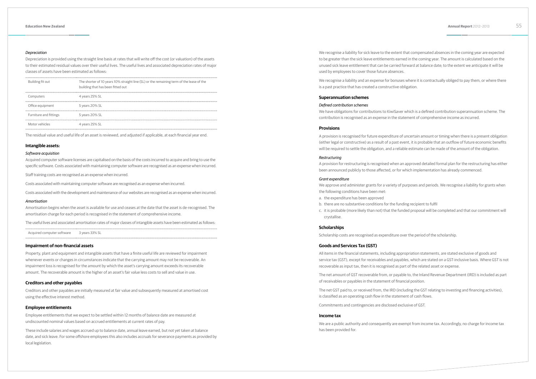### *Depreciation*

Depreciation is provided using the straight line basis at rates that will write off the cost (or valuation) of the assets to their estimated residual values over their useful lives. The useful lives and associated depreciation rates of major classes of assets have been estimated as follows:

| Building fit out       | The shorter of 10 years 10% straight line (SL) or the remaining term of the lease of the<br>building that has been fitted out |
|------------------------|-------------------------------------------------------------------------------------------------------------------------------|
| Computers              | 4 years 25% SL                                                                                                                |
| Office equipment       | 5 years 20% SL                                                                                                                |
| Furniture and fittings | 5 years 20% SL                                                                                                                |
| Motor vehicles         | 4 years 25% SL                                                                                                                |

The residual value and useful life of an asset is reviewed, and adjusted if applicable, at each financial year end.

### **Intangible assets:**

# *Software acquisition*

Acquired computer software licenses are capitalised on the basis of the costs incurred to acquire and bring to use the specific software. Costs associated with maintaining computer software are recognised as an expense when incurred.

Staff training costs are recognised as an expense when incurred.

Costs associated with maintaining computer software are recognised as an expense when incurred.

Costs associated with the development and maintenance of our websites are recognised as an expense when incurred.

### *Amortisation*

Amortisation begins when the asset is available for use and ceases at the date that the asset is de-recognised. The amortisation charge for each period is recognised in the statement of comprehensive income.

The useful lives and associated amortisation rates of major classes of intangible assets have been estimated as follows:

Acquired computer software 3 years 33% SL

### **Impairment of non-financial assets**

Property, plant and equipment and intangible assets that have a finite useful life are reviewed for impairment whenever events or changes in circumstances indicate that the carrying amount may not be recoverable. An impairment loss is recognised for the amount by which the asset's carrying amount exceeds its recoverable amount. The recoverable amount is the higher of an asset's fair value less costs to sell and value in use.

# **Creditors and other payables**

Creditors and other payables are initially measured at fair value and subsequently measured at amortised cost using the effective interest method.

# **Employee entitlements**

Employee entitlements that we expect to be settled within 12 months of balance date are measured at undiscounted nominal values based on accrued entitlements at current rates of pay.

These include salaries and wages accrued up to balance date, annual leave earned, but not yet taken at balance date, and sick leave. For some offshore employees this also includes accruals for severance payments as provided by local legislation.

We recognise a liability for sick leave to the extent that compensated absences in the coming year are expected to be greater than the sick leave entitlements earned in the coming year. The amount is calculated based on the unused sick leave entitlement that can be carried forward at balance date; to the extent we anticipate it will be used by employees to cover those future absences.

We recognise a liability and an expense for bonuses where it is contractually obliged to pay them, or where there is a past practice that has created a constructive obligation.

## **Superannuation schemes**

## *Defined contribution schemes*

We have obligations for contributions to KiwiSaver which is a defined contribution superannuation scheme. The contribution is recognised as an expense in the statement of comprehensive income as incurred.

### **Provisions**

A provision is recognised for future expenditure of uncertain amount or timing when there is a present obligation (either legal or constructive) as a result of a past event, it is probable that an outflow of future economic benefits will be required to settle the obligation, and a reliable estimate can be made of the amount of the obligation.

### *Restructuring*

A provision for restructuring is recognised when an approved detailed formal plan for the restructuring has either been announced publicly to those affected, or for which implementation has already commenced.

### *Grant expenditure*

We approve and administer grants for a variety of purposes and periods. We recognise a liability for grants when the following conditions have been met:

- a. the expenditure has been approved
- b. there are no substantive conditions for the funding recipient to fulfil
- crystallise.

c. it is probable (more likely than not) that the funded proposal will be completed and that our commitment will

### **Scholarships**

Scholarship costs are recognised as expenditure over the period of the scholarship.

# **Goods and Services Tax (GST)**

All items in the financial statements, including appropriation statements, are stated exclusive of goods and service tax (GST), except for receivables and payables, which are stated on a GST-inclusive basis. Where GST is not recoverable as input tax, then it is recognised as part of the related asset or expense.

The net amount of GST recoverable from, or payable to, the Inland Revenue Department (IRD) is included as part of receivables or payables in the statement of financial position.

The net GST paid to, or received from, the IRD (including the GST relating to investing and financing activities), is classified as an operating cash flow in the statement of cash flows.

Commitments and contingencies are disclosed exclusive of GST.

### **Income tax**

We are a public authority and consequently are exempt from income tax. Accordingly, no charge for income tax has been provided for.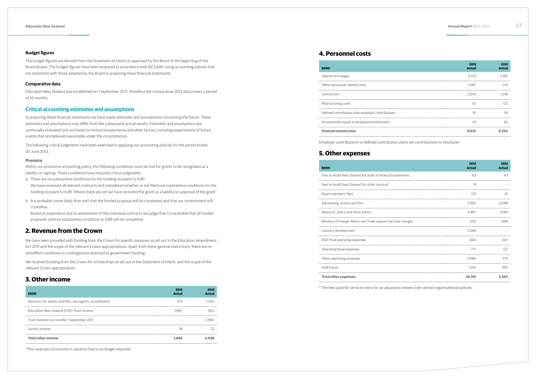# **Budget figures**

The budget figures are derived from the Statement of Intent as approved by the Board at the beginning of the financial year. The budget figures have been prepared in accordance with NZ GAAP, using accounting policies that are consistent with those adopted by the Board in preparing these financial statements.

# **Comparative data**

Education New Zealand was established on 1 September 2011, therefore the comparative 2012 data covers a period of 10 months.

# **Critical accounting estimates and assumptions**

In preparing these financial statements we have made estimates and assumptions concerning the future. These estimates and assumptions may differ from the subsequent actual results. Estimates and assumptions are continually evaluated and are based on historical experience and other factors, including expectations of future events that are believed reasonable under the circumstances.

The following critical judgments have been exercised in applying our accounting policies for the period ended 30 June 2013.

# *Provisions*

Within our provisions accounting policy, the following conditions must be met for grants to be recognised as a liability on signing. These conditions have required critical judgments.

- a. There are no substantive conditions for the funding recipient to fulfil.
- We have reviewed all relevant contracts and considered whether or not there are substantive conditions for the funding recipient to fulfil. Where there are not we have recorded the grant as a liability on approval of the grant.
- b. It is probable (more likely than not) that the funded proposal will be completed and that our commitment will crystallise.

Based on experience and an assessment of the individual contracts we judge that it is probable that all funded proposals without substantive conditions to fulfil will be completed.

# **2. Revenue from the Crown**

We have been provided with funding from the Crown for specific purposes as set out in the Education Amendment Act 2011 and the scope of the relevant Crown appropriations. Apart from these general restrictions, there are no unfulfilled conditions or contingencies attached to government funding.

We received funding from the Crown for scholarships as set out in the Statement of Intent, and the scope of the relevant Crown appropriation.

# **3. Other income**

| \$000                                                    | 2013<br><b>Actual</b> | 2012<br><b>Actual</b> |
|----------------------------------------------------------|-----------------------|-----------------------|
| Recovery for events and fairs, and agents, accreditation | 671                   | 1.053                 |
| Education New Zealand (ENZ) Trust Income                 | $996*$                | 903                   |
| Trust donation on transfer 1 September 2011              |                       | 2.980                 |
| Sundry income                                            | 18                    | 22                    |
| <b>Total other income</b>                                | 1.685                 | 4.958                 |

\*This reverses out income in advance that is no longer required.

# **4. Personnel costs**

| \$000                                            | 2013<br><b>Actual</b> | 2012<br><b>Actual</b> |
|--------------------------------------------------|-----------------------|-----------------------|
| Salaries and wages                               | 5.013                 | 2,581                 |
| Other personnel-related costs                    | 1.087                 | 514                   |
| Contractors                                      | 2.645                 | 1.016                 |
| Restructuring costs                              | 121                   | 122                   |
| Defined contribution plan employer contributions | 91                    | 39                    |
| Increase/(decrease) in employee entitlements     | 74                    | 62                    |
| <b>Total personnel costs</b>                     | 9.031                 | 4.334                 |
|                                                  |                       |                       |

Employer contributions to defined contribution plans are contributions to KiwiSaver.

# **5. Other expenses**

### **\$000**

| \$000                                                                                         | 2013<br><b>Actual</b> | 2012<br><b>Actual</b> |
|-----------------------------------------------------------------------------------------------|-----------------------|-----------------------|
| Fees to Audit New Zealand for audit of financial statements                                   | 63                    | 43                    |
| Fees to Audit New Zealand for other services*                                                 | 11                    |                       |
| Board members' fees                                                                           | 125                   | 91                    |
| Advertising, events and fairs                                                                 | 7.260                 | 2,098                 |
| Research, policy and other advice                                                             | 3.487                 | 1.083                 |
| Ministry of Foreign Affairs and Trade support services charges                                | 520                   | 468                   |
| Industry development                                                                          | 2.598                 |                       |
| <b>ENZ Trust operating expenses</b>                                                           | (66)                  | 307                   |
| Operating lease expenses                                                                      | 177                   | 127                   |
| Other operating expenses                                                                      | 2.986                 | 573                   |
| Staff travel                                                                                  | 1.154                 | 592                   |
| <b>Total other expenses</b>                                                                   | 18.315                | 5.382                 |
| The fees paid for services were for an assurance review over certain organisational policies. |                       |                       |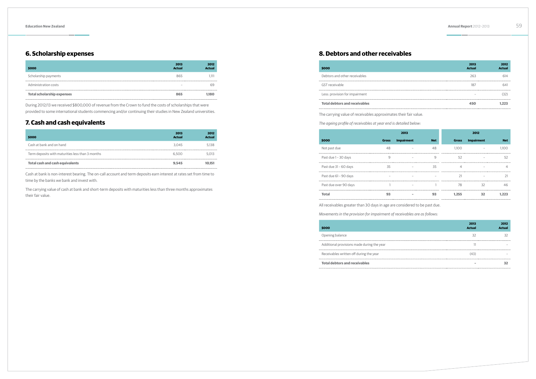# **6. Scholarship expenses**

| \$000                             | 2013<br><b>Actual</b>    | 2012<br><b>Actual</b> |
|-----------------------------------|--------------------------|-----------------------|
| Scholarship payments              | 865                      | 1.111                 |
| Administration costs              | $\overline{\phantom{a}}$ | 69                    |
| <b>Total scholarship expenses</b> | 865                      | 1.180                 |

During 2012/13 we received \$800,000 of revenue from the Crown to fund the costs of scholarships that were provided to some international students commencing and/or continuing their studies in New Zealand universities.

# **7. Cash and cash equivalents**

| \$000                                            | 2013<br><b>Actual</b> | 2012<br><b>Actual</b> |
|--------------------------------------------------|-----------------------|-----------------------|
| Cash at bank and on hand                         | 3.045                 | 5.138                 |
| Term deposits with maturities less than 3 months | 6.500                 | 5.013                 |
| Total cash and cash equivalents                  | 9.545                 | 10.151                |

Cash at bank is non-interest bearing. The on-call account and term deposits earn interest at rates set from time to time by the banks we bank and invest with.

The carrying value of cash at bank and short-term deposits with maturities less than three months approximates their fair value.

# **8. Debtors and other receivables**

| \$000                                | 2013<br><b>Actual</b> | 2012<br><b>Actual</b> |
|--------------------------------------|-----------------------|-----------------------|
| Debtors and other receivables        | 263                   | 614                   |
| GST receivable                       | 187                   | 641                   |
| Less: provision for impairment       |                       |                       |
| <b>Total debtors and receivables</b> | 450                   |                       |
|                                      |                       |                       |

The carrying value of receivables approximates their fair value.

*The ageing profile of receivables at year end is detailed below:*

|                       |              | 2013              |            |              | 2012              |            |
|-----------------------|--------------|-------------------|------------|--------------|-------------------|------------|
| \$000                 | <b>Gross</b> | <b>Impairment</b> | <b>Net</b> | <b>Gross</b> | <b>Impairment</b> | <b>Net</b> |
| Not past due          | 48           |                   | 48         | 1.100        |                   | 1.100      |
| Past due 1 - 30 days  | 9            |                   | 9          | 52           |                   | 52         |
| Past due 31 - 60 days | 35           |                   | 35         | 4            |                   |            |
| Past due 61 - 90 days |              |                   |            | 21           |                   |            |
| Past due over 90 days |              |                   |            | 78           | 32                | 46         |
| <b>Total</b>          | 93           |                   | 93         | 1.255        | 32                | 1.223      |
|                       |              |                   |            |              |                   |            |

All receivables greater than 30 days in age are considered to be past due.

*Movements in the provision for impairment of receivables are as follows:*

# **\$000**

Opening balance

Additional provisions made during the year

Receivables written off during the year

| 2013<br><b>Actual</b> | 2012<br><b>Actual</b> |
|-----------------------|-----------------------|
| 32                    | 32                    |
| 11                    |                       |
| (43)                  |                       |
|                       | 32                    |

**Total debtors and receivables – 32**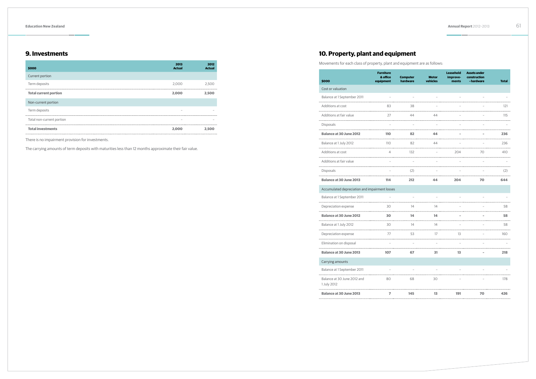# **9. Investments**

| \$000                        | 2013<br><b>Actual</b>    | 2012<br><b>Actual</b> |
|------------------------------|--------------------------|-----------------------|
| Current portion              |                          |                       |
| Term deposits                | 2.000                    | 2.500                 |
| <b>Total current portion</b> | 2.000                    | 2.500                 |
| Non-current portion          |                          |                       |
| Term deposits                | -                        |                       |
| Total non-current portion    | $\overline{\phantom{a}}$ |                       |
| <b>Total investments</b>     | 2.000                    | 2.500                 |

There is no impairment provision for investments.

The carrying amounts of term deposits with maturities less than 12 months approximate their fair value.

# **10. Property, plant and equipment**

Movements for each class of property, plant and equipment are as follows:

| \$000                                          | <b>Furniture</b><br>& office<br>equipment | <b>Computer</b><br>hardware | <b>Motor</b><br>vehicles | <b>Leasehold</b><br>improve-<br>ments | <b>Assets under</b><br>construction<br>- hardware | <b>Total</b> |
|------------------------------------------------|-------------------------------------------|-----------------------------|--------------------------|---------------------------------------|---------------------------------------------------|--------------|
| Cost or valuation                              |                                           |                             |                          |                                       |                                                   |              |
| Balance at 1 September 2011                    |                                           |                             |                          |                                       |                                                   |              |
| Additions at cost                              | 83                                        | 38                          |                          |                                       |                                                   | 121          |
| Additions at fair value                        | 27                                        | 44                          | 44                       |                                       |                                                   | 115          |
| <b>Disposals</b>                               |                                           |                             |                          |                                       |                                                   |              |
| <b>Balance at 30 June 2012</b>                 | 110                                       | 82                          | 44                       |                                       |                                                   | 236          |
| Balance at 1 July 2012                         | 110                                       | 82                          | 44                       |                                       |                                                   | 236          |
| Additions at cost                              |                                           | 132                         |                          | 204                                   | 70                                                | 410          |
| Additions at fair value                        |                                           |                             |                          |                                       |                                                   |              |
| <b>Disposals</b>                               |                                           | (2)                         |                          |                                       |                                                   | (2)          |
| <b>Balance at 30 June 2013</b>                 | 114                                       | 212                         | 44                       | 204                                   | 70                                                | 644          |
| Accumulated depreciation and impairment losses |                                           |                             |                          |                                       |                                                   |              |
| Balance at 1 September 2011                    |                                           |                             |                          |                                       |                                                   |              |
| Depreciation expense                           | 30                                        | 14                          | 14                       |                                       |                                                   | 58           |
| <b>Balance at 30 June 2012</b>                 | 30                                        | 14                          | 14                       |                                       |                                                   | 58           |
| Balance at 1 July 2012                         | 30                                        | 14                          | 14                       |                                       |                                                   | 58           |
| Depreciation expense                           | 77                                        | 53                          | 17                       | 13                                    |                                                   | 160          |
| Elimination on disposal                        |                                           |                             |                          |                                       |                                                   |              |
| <b>Balance at 30 June 2013</b>                 | 107                                       | 67                          | 31                       | 13                                    |                                                   | 218          |
| Carrying amounts                               |                                           |                             |                          |                                       |                                                   |              |
| Balance at 1 September 2011                    |                                           |                             |                          |                                       |                                                   |              |
| Balance at 30 June 2012 and<br>1 July 2012     | 80                                        | 68                          | 30                       |                                       |                                                   | 178          |
| <b>Balance at 30 June 2013</b>                 | $\overline{ }$                            | 145                         | 13                       | 191                                   | 70                                                | 426          |
|                                                |                                           |                             |                          |                                       |                                                   |              |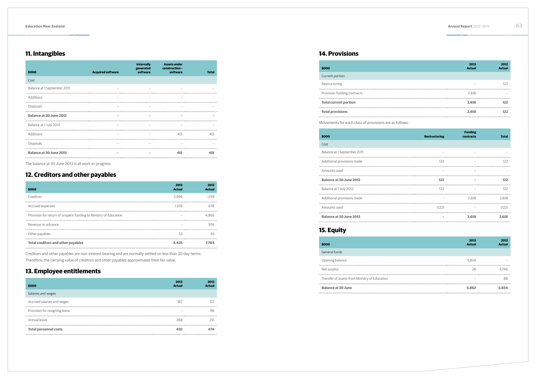# **11. Intangibles**

| \$000                          | <b>Acquired software</b> | <b>Internally</b><br>generated<br>software | <b>Assets under</b><br>construction -<br>software | <b>Total</b> |
|--------------------------------|--------------------------|--------------------------------------------|---------------------------------------------------|--------------|
| Cost                           |                          |                                            |                                                   |              |
| Balance at 1 September 2011    |                          |                                            |                                                   |              |
| Additions                      | $\overline{\phantom{a}}$ |                                            |                                                   |              |
| Disposals                      |                          |                                            |                                                   |              |
| <b>Balance at 30 June 2012</b> | $\overline{\phantom{a}}$ | $\overline{\phantom{a}}$                   |                                                   |              |
| Balance at 1 July 2012         |                          |                                            |                                                   |              |
| Additions                      |                          |                                            | 415                                               | 415          |
| <b>Disposals</b>               |                          |                                            |                                                   |              |
| <b>Balance at 30 June 2013</b> |                          |                                            | 415                                               | 415          |

The balance at 30 June 2013 is all work-in-progress.

# **12. Creditors and other payables**

| \$000                                                            | 2013<br><b>Actual</b> | 2012<br><b>Actual</b> |
|------------------------------------------------------------------|-----------------------|-----------------------|
| Creditors                                                        | 2.995                 | 1.139                 |
| Accrued expenses                                                 | 1.378                 | 678                   |
| Provision for return of unspent funding to Ministry of Education |                       | 4.865                 |
| Revenue-in-advance                                               |                       | 976                   |
| Other payables                                                   | 52                    | 45                    |
| <b>Total creditors and other payables</b>                        |                       | 7.703                 |

Creditors and other payables are non-interest bearing and are normally settled on less than 30 day-terms. Therefore, the carrying value of creditors and other payables approximates their fair value.

# **13. Employee entitlements**

| \$000                         | 2013<br><b>Actual</b>    | 2012<br><b>Actual</b> |
|-------------------------------|--------------------------|-----------------------|
| Salaries and wages            |                          |                       |
| Accrued salaries and wages    | 167                      | 127                   |
| Provision for resigning leave | $\overline{\phantom{a}}$ | 96                    |
| Annual leave                  | 268                      | 251                   |
| <b>Total personnel costs</b>  | 435                      | 474                   |

# **14. Provisions**

| \$000                        | 2013<br><b>Actual</b> | 2012<br><b>Actual</b> |
|------------------------------|-----------------------|-----------------------|
| Current portion              |                       |                       |
| Restructuring                |                       | 122                   |
| Provision funding contracts  | 2,618                 |                       |
| <b>Total current portion</b> | 2,618                 | 122                   |
| <b>Total provisions</b>      | 2.618                 | 122                   |
|                              |                       |                       |

| \$000                                                  |                      |
|--------------------------------------------------------|----------------------|
| Current portion                                        |                      |
| Restructuring                                          |                      |
| Provision funding contracts                            |                      |
| <b>Total current portion</b>                           |                      |
| <b>Total provisions</b>                                |                      |
| Movements for each class of provisions are as follows: |                      |
| \$000                                                  | <b>Restructuring</b> |
| Cost                                                   |                      |
| Balance at 1 September 2011                            |                      |
| Additional provisions made                             | 122                  |
| Amounts used                                           |                      |
| <b>Balance at 30 June 2012</b>                         | 122                  |
| Balance at 1 July 2012                                 | 122                  |
| Additional provisions made                             |                      |
| Amounts used                                           | (122)                |
| <b>Balance at 30 June 2013</b>                         |                      |

| \$000                          | <b>Restructuring</b> | <b>Funding</b><br>contracts | <b>Total</b> |
|--------------------------------|----------------------|-----------------------------|--------------|
| Cost                           |                      |                             |              |
| Balance at 1 September 2011    |                      |                             |              |
| Additional provisions made     | 122                  |                             | 122          |
| Amounts used                   |                      |                             |              |
| <b>Balance at 30 June 2012</b> | 122                  |                             | 122          |
| Balance at 1 July 2012         | 122                  |                             | 122          |
| Additional provisions made     |                      | 2,618                       | 2,618        |
| Amounts used                   | (122)                |                             | (122)        |
| <b>Balance at 30 June 2013</b> |                      | 2.618                       | 2.618        |

# **15. Equity**

| \$000                                         |
|-----------------------------------------------|
| General funds                                 |
| Opening balance                               |
| Net surplus                                   |
| Transfer of assets from Ministry of Education |
|                                               |

# **Balance at 30 June**

| \$000                                         | 2013<br><b>Actual</b> | 2012<br><b>Actual</b> |
|-----------------------------------------------|-----------------------|-----------------------|
| General funds                                 |                       |                       |
| Opening balance                               | 5.834                 |                       |
| Net surplus                                   | 28                    | 5.746                 |
| Transfer of assets from Ministry of Education | -                     | 88                    |
| <b>Balance at 30 June</b>                     | 5.862                 | 5.834                 |
|                                               |                       |                       |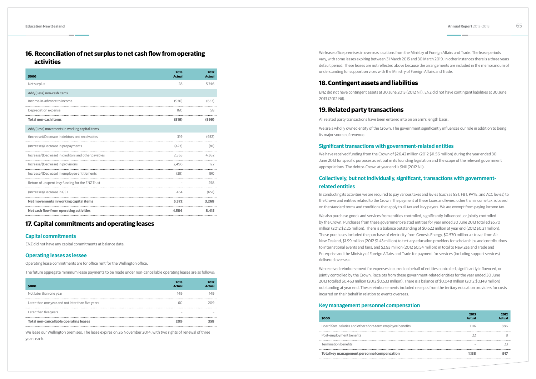# **16. Reconciliation of net surplus to net cash flow from operating activities**

| \$000                                               | 2013<br><b>Actual</b> | 2012<br><b>Actual</b> |
|-----------------------------------------------------|-----------------------|-----------------------|
| Net surplus                                         | 28                    | 5,746                 |
| Add/(Less) non-cash items                           |                       |                       |
| Income-in-advance to income                         | (976)                 | (657)                 |
| Depreciation expense                                | 160                   | 58                    |
| <b>Total non-cash items</b>                         | (816)                 | (599)                 |
| Add/(Less) movements in working capital items       |                       |                       |
| (Increase)/Decrease in debtors and receivables      | 319                   | (932)                 |
| (Increase)/Decrease in prepayments                  | (423)                 | (81)                  |
| Increase/(Decrease) in creditors and other payables |                       | 4,362<br>2,565        |
| Increase/(Decrease) in provisions                   | 2.496                 | 122                   |
| Increase/(Decrease) in employee entitlements        | (39)                  | 190                   |
| Return of unspent levy funding for the ENZ Trust    |                       | 258                   |
| (Increase)/Decrease in GST                          | 454                   | (651)                 |
| Net movements in working capital items              | 5.372                 | 3,268                 |
| Net cash flow from operating activities             | 4.584                 | 8.415                 |

# **17. Capital commitments and operating leases**

# **Capital commitments**

ENZ did not have any capital commitments at balance date.

# **Operating leases as lessee**

Operating lease commitments are for office rent for the Wellington office.

The future aggregate minimum lease payments to be made under non-cancellable operating leases are as follows:

| \$000                                             | 2013<br><b>Actual</b> | 2012<br><b>Actual</b> |
|---------------------------------------------------|-----------------------|-----------------------|
| Not later than one year                           | 149                   | 149                   |
| Later than one year and not later than five years | 60                    | 209                   |
| Later than five years                             |                       |                       |
| <b>Total non-cancellable operating leases</b>     | 209                   | 358                   |

We lease our Wellington premises. The lease expires on 26 November 2014, with two rights of renewal of three years each.

We lease office premises in overseas locations from the Ministry of Foreign Affairs and Trade. The lease periods vary, with some leases expiring between 31 March 2015 and 30 March 2019. In other instances there is a three years default period. These leases are not reflected above because the arrangements are included in the memorandum of understanding for support services with the Ministry of Foreign Affairs and Trade.

# **18. Contingent assets and liabilities**

ENZ did not have contingent assets at 30 June 2013 (2012 Nil). ENZ did not have contingent liabilities at 30 June 2013 (2012 Nil).

# **19. Related party transactions**

All related party transactions have been entered into on an arm's length basis.

We are a wholly owned entity of the Crown. The government significantly influences our role in addition to being its major source of revenue.

# **Significant transactions with government-related entities**

We have received funding from the Crown of \$26.42 million (2012 \$11.56 million) during the year ended 30 June 2013 for specific purposes as set out in its founding legislation and the scope of the relevant government appropriations. The debtor-Crown at year end is \$Nil (2012 Nil).

# **Collectively, but not individually, significant, transactions with governmentrelated entities**

In conducting its activities we are required to pay various taxes and levies (such as GST, FBT, PAYE, and ACC levies) to the Crown and entities related to the Crown. The payment of these taxes and levies, other than income tax, is based on the standard terms and conditions that apply to all tax and levy payers. We are exempt from paying income tax.

We also purchase goods and services from entities controlled, significantly influenced, or jointly controlled by the Crown. Purchases from these government-related entities for year ended 30 June 2013 totalled \$5.70 million (2012 \$2.25 million). There is a balance outstanding of \$0.622 million at year end (2012 \$0.21 million). These purchases included the purchase of electricity from Genesis Energy, \$0.570 million air travel from Air New Zealand, \$1.99 million (2012 \$1.43 million) to tertiary education providers for scholarships and contributions to international events and fairs, and \$2.93 million (2012 \$0.54 million) in total to New Zealand Trade and Enterprise and the Ministry of Foreign Affairs and Trade for payment for services (including support services) delivered overseas.

We received reimbursement for expenses incurred on behalf of entities controlled, significantly influenced, or jointly controlled by the Crown. Receipts from these government-related entities for the year ended 30 June 2013 totalled \$0.463 million (2012 \$0.533 million). There is a balance of \$0.048 million (2012 \$0.148 million) outstanding at year end. These reimbursements included receipts from the tertiary education providers for costs incurred on their behalf in relation to events overseas.

# **Key management personnel compensation**

# **\$000**

- Board fees, salaries and other short-term employee bene
- Post-employment benefits
- Termination benefits
- 

|       | 2013<br><b>Actual</b> | 2012<br><b>Actual</b> |
|-------|-----------------------|-----------------------|
| efits | 1,116                 | 886                   |
|       | 22                    | 8                     |
|       | -<br>                 | 23                    |
|       | 1,138                 | 917                   |
|       |                       |                       |

**Total key management personnel compensation 1,138 917**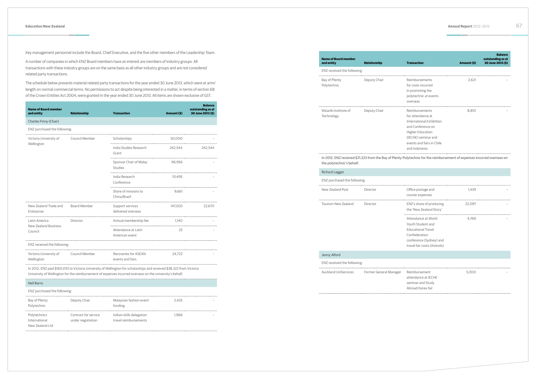Key management personnel include the Board, Chief Executive, and the five other members of the Leadership Team.

A number of companies in which ENZ Board members have an interest are members of industry groups. All transactions with these industry groups are on the same basis as all other industry groups and are not considered related party transactions.

The schedule below presents material related party transactions for the year ended 30 June 2013, which were at arms' length on normal commercial terms. No permissions to act despite being interested in a matter, in terms of section 68 of the Crown Entities Act 2004, were granted in the year ended 30 June 2013. All items are shown exclusive of GST.

| <b>Name of Board member</b><br>and entity           | <b>Relationship</b> | <b>Transaction</b>                                                                                                    | Amount (\$) | <b>Balance</b><br>outstanding as at<br>30 June 2013 (\$) |
|-----------------------------------------------------|---------------------|-----------------------------------------------------------------------------------------------------------------------|-------------|----------------------------------------------------------|
| Charles Finny (Chair)                               |                     |                                                                                                                       |             |                                                          |
| ENZ purchased the following:                        |                     |                                                                                                                       |             |                                                          |
| Victoria University of                              | Council Member      | Scholarships                                                                                                          | 50,000      |                                                          |
| Wellington                                          |                     | India Studies Research<br>Grant                                                                                       | 242,544     | 242.544                                                  |
|                                                     |                     | Sponsor Chair of Malay<br>Studies                                                                                     | 96.956      |                                                          |
|                                                     |                     | India Research<br>Conference                                                                                          | 10.495      |                                                          |
|                                                     |                     | Share of missions to<br>China/Brazil                                                                                  | 9.661       |                                                          |
| New Zealand Trade and<br>Enterprise                 | <b>Board Member</b> | Support services<br>delivered overseas                                                                                | 147,003     | 22,670                                                   |
| Latin America                                       | Director            | Annual membership fee                                                                                                 | 1.140       |                                                          |
| New Zealand Business<br>Council                     |                     | Attendance at Latin<br>American event                                                                                 | 25          |                                                          |
| ENZ received the following:                         |                     |                                                                                                                       |             |                                                          |
| Victoria University of Council Member<br>Wellington |                     | Recoveries for ASEAN<br>events and fairs                                                                              | 24.722      |                                                          |
|                                                     |                     | In 2012, ENZ paid \$160,010 to Victoria University of Wellington for scholarships and received \$38,322 from Victoria |             |                                                          |

# In 2012, ENZ received \$21,323 from the Bay of Plenty Po the polytechnic's behalf.

University of Wellington for the reimbursement of expenses incurred overseas on the university's behalf.

## Neil Barns

# ENZ purchased the following:

| Bay of Plenty<br>Polytechnic                     | Deputy Chair                              | Malaysian fashion event<br>funding                | 2.435 |  |
|--------------------------------------------------|-------------------------------------------|---------------------------------------------------|-------|--|
| Polytechnics<br>International<br>New Zealand Ltd | Contract for service<br>under negotiation | Indian skills delegation<br>travel reimbursements | 1.966 |  |

| <b>Relationship</b> | <b>Transaction</b>                                                                            | Amount (\$) |
|---------------------|-----------------------------------------------------------------------------------------------|-------------|
|                     |                                                                                               |             |
| Deputy Chair        | Reimbursements<br>for costs incurred<br>in promoting the<br>polytechnic at events<br>overseas | 2.621       |
| Deputy Chair        | Reimbursements<br>for attendance at<br>International Exhibition                               | 8.810       |
|                     | ENZ received the following:                                                                   |             |

| <b>Transaction</b>                                                                                                                               | Amount (\$) | <b>Balance</b><br>outstanding as at<br>30 June 2013 (\$) |
|--------------------------------------------------------------------------------------------------------------------------------------------------|-------------|----------------------------------------------------------|
| Reimbursements<br>for costs incurred<br>in promoting the<br>polytechnic at events                                                                | 2,621       |                                                          |
| overseas<br>Reimbursements<br>for attendance at<br>International Exhibition                                                                      | 8,810       |                                                          |
| and Conference on<br><b>Higher Education</b><br>(IECHE) seminar and<br>events and fairs in Chile<br>and Indonesia                                |             |                                                          |
| olytechnic for the reimbursement of expenses incurred overseas on                                                                                |             |                                                          |
|                                                                                                                                                  |             |                                                          |
|                                                                                                                                                  | 1,439       |                                                          |
| Office postage and<br>courier expenses<br>ENZ's share of producing<br>the 'New Zealand Story'                                                    | 22,097      |                                                          |
| Attendance at World<br>Youth Student and<br><b>Educational Travel</b><br>Confederation<br>conference (Sydney) and<br>travel fair costs (Astindo) | 4,769       |                                                          |
|                                                                                                                                                  |             |                                                          |

| ENZ purchased the following: |                                                     |
|------------------------------|-----------------------------------------------------|
| Director                     | Office postage and<br>courier expenses              |
| Director                     | ENZ's share of producing<br>the 'New Zealand Story' |
|                              |                                                     |

# Jenny Alford

| ENZ received the following: |                        |               |
|-----------------------------|------------------------|---------------|
|                             |                        |               |
| Auckland UniServices        | Former General Manager | Reimbursement |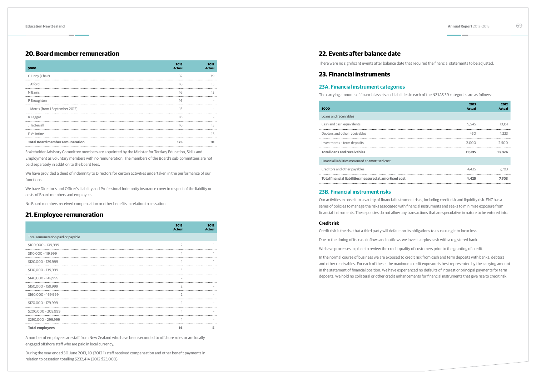# **20. Board member remuneration**

| \$000                                  | 2013<br><b>Actual</b> | 2012<br><b>Actual</b> |
|----------------------------------------|-----------------------|-----------------------|
| C Finny (Chair)                        | 32                    | 39                    |
| J Alford                               | 16                    | 13                    |
| N Barns                                | 16                    | 13                    |
| P Broughton                            | 16                    |                       |
| J Morris (from 1 September 2012)       | 13                    |                       |
| R Leggat                               | 16                    |                       |
| J Tattersall                           | 16                    | 13                    |
| E Valintine                            |                       | 13                    |
| <b>Total Board member remuneration</b> | 125                   | 91                    |

Stakeholder Advisory Committee members are appointed by the Minister for Tertiary Education, Skills and Employment as voluntary members with no remuneration. The members of the Board's sub-committees are not paid separately in addition to the board fees.

We have provided a deed of indemnity to Directors for certain activities undertaken in the performance of our functions.

We have Director's and Officer's Liability and Professional Indemnity insurance cover in respect of the liability or costs of Board members and employees.

No Board members received compensation or other benefits in relation to cessation.

# **21. Employee remuneration**

|                                    | 2013<br><b>Actual</b> | 2012<br><b>Actual</b> |
|------------------------------------|-----------------------|-----------------------|
| Total remuneration paid or payable |                       |                       |
| $$100,000 - 109,999$               | $\overline{2}$        |                       |
| \$110,000 - 119,999                |                       |                       |
| $$120,000 - 129,999$               |                       |                       |
| $$130,000 - 139,999$               | 3                     |                       |
| \$140,000 - 149.999                |                       |                       |
| $$150,000 - 159,999$               | 2                     |                       |
| \$160.000 - 169.999                | 2                     |                       |
| \$170,000 - 179,999                |                       |                       |
| \$200,000 - 209,999                |                       |                       |
| \$290,000 - 299,999                |                       |                       |
| <b>Total employees</b>             | 14                    |                       |

A number of employees are staff from New Zealand who have been seconded to offshore roles or are locally engaged offshore staff who are paid in local currency.

During the year ended 30 June 2013, 10 (2012 1) staff received compensation and other benefit payments in relation to cessation totalling \$232,414 (2012 \$23,000).

# **22. Events after balance date**

There were no significant events after balance date that required the financial statements to be adjusted.

# **23. Financial instruments**

# **23A. Financial instrument categories**

The carrying amounts of financial assets and liabilities in each of the NZ IAS 39 categories are as follows:

| \$000                                                  | 2013<br><b>Actual</b> | 2012<br><b>Actual</b> |
|--------------------------------------------------------|-----------------------|-----------------------|
| Loans and receivables                                  |                       |                       |
| Cash and cash equivalents                              | 9.545                 | 10.151                |
| Debtors and other receivables                          | 450                   | 1.223                 |
| Investments - term deposits                            | 2.000                 | 2.500                 |
| <b>Total loans and receivables</b>                     | 11.995                | 13.874                |
| Financial liabilities measured at amortised cost       |                       |                       |
| Creditors and other payables                           | 4.425                 | 7.703                 |
| Total financial liabilities measured at amortised cost | 4.425                 | 7.703                 |
|                                                        |                       |                       |

# **23B. Financial instrument risks**

Our activities expose it to a variety of financial instrument risks, including credit risk and liquidity risk. ENZ has a series of policies to manage the risks associated with financial instruments and seeks to minimise exposure from financial instruments. These policies do not allow any transactions that are speculative in nature to be entered into.

# **Credit risk**

Credit risk is the risk that a third party will default on its obligations to us causing it to incur loss.

Due to the timing of its cash inflows and outflows we invest surplus cash with a registered bank.

We have processes in place to review the credit quality of customers prior to the granting of credit.

In the normal course of business we are exposed to credit risk from cash and term deposits with banks, debtors and other receivables. For each of these, the maximum credit exposure is best represented by the carrying amount in the statement of financial position. We have experienced no defaults of interest or principal payments for term deposits. We hold no collateral or other credit enhancements for financial instruments that give rise to credit risk.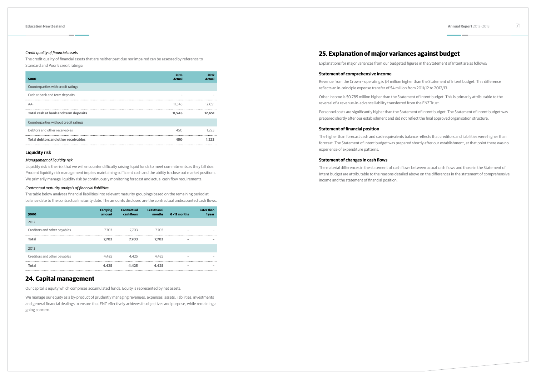## *Credit quality of financial assets*

The credit quality of financial assets that are neither past due nor impaired can be assessed by reference to Standard and Poor's credit ratings:

| \$000                                      | 2013<br><b>Actual</b> | 2012<br><b>Actual</b> |
|--------------------------------------------|-----------------------|-----------------------|
| Counterparties with credit ratings         |                       |                       |
| Cash at bank and term deposits             |                       |                       |
| AA-                                        | 11.545                | 12.651                |
| Total cash at bank and term deposits       | 11.545                | 12.651                |
| Counterparties without credit ratings      |                       |                       |
| Debtors and other receivables              | 450                   | 1.223                 |
| <b>Total debtors and other receivables</b> | 450                   | 1.223                 |

# **Liquidity risk**

# *Management of liquidity risk*

Liquidity risk is the risk that we will encounter difficulty raising liquid funds to meet commitments as they fall due. Prudent liquidity risk management implies maintaining sufficient cash and the ability to close out market positions. We primarily manage liquidity risk by continuously monitoring forecast and actual cash flow requirements.

# *Contractual maturity analysis of financial liabilities*

The table below analyses financial liabilities into relevant maturity groupings based on the remaining period at balance date to the contractual maturity date. The amounts disclosed are the contractual undiscounted cash flows.

| \$000                        | <b>Carrying</b><br>amount | <b>Contractual</b><br>cash flows | Less than 6<br>months | $6 - 12$ months          | <b>Later than</b><br>1 year |
|------------------------------|---------------------------|----------------------------------|-----------------------|--------------------------|-----------------------------|
| 2012                         |                           |                                  |                       |                          |                             |
| Creditors and other payables | 7.703                     | 7.703                            | 7.703                 | -                        |                             |
| <b>Total</b>                 | 7.703                     | 7.703                            | 7.703                 | $\overline{\phantom{a}}$ | $\sim$                      |
| 2013                         |                           |                                  |                       |                          |                             |
| Creditors and other payables | 4.425                     | 4.425                            | 4.425                 | -                        | $\overline{\phantom{a}}$    |
| <b>Total</b>                 | 4.425                     | 4.425                            | 4.425                 | $\overline{\phantom{a}}$ | $\overline{\phantom{a}}$    |

# **24. Capital management**

Our capital is equity which comprises accumulated funds. Equity is represented by net assets.

We manage our equity as a by-product of prudently managing revenues, expenses, assets, liabilities, investments and general financial dealings to ensure that ENZ effectively achieves its objectives and purpose, while remaining a going concern.

# **25. Explanation of major variances against budget**

Explanations for major variances from our budgeted figures in the Statement of Intent are as follows:

## **Statement of comprehensive income**

reflects an in-principle expense transfer of \$4 million from 2011/12 to 2012/13.

- Revenue from the Crown operating is \$4 million higher than the Statement of Intent budget. This difference
- Other income is \$0.785 million higher than the Statement of Intent budget. This is primarily attributable to the
- Personnel costs are significantly higher than the Statement of Intent budget. The Statement of Intent budget was prepared shortly after our establishment and did not reflect the final approved organisation structure.

reversal of a revenue-in-advance liability transferred from the ENZ Trust.

# **Statement of financial position**

The higher than forecast cash and cash equivalents balance reflects that creditors and liabilities were higher than forecast. The Statement of Intent budget was prepared shortly after our establishment, at that point there was no experience of expenditure patterns.

# **Statement of changes in cash flows**

The material differences in the statement of cash flows between actual cash flows and those in the Statement of Intent budget are attributable to the reasons detailed above on the differences in the statement of comprehensive income and the statement of financial position.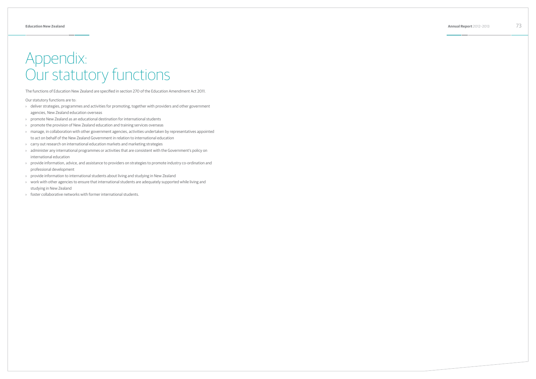# Appendix: Our statutory functions

The functions of Education New Zealand are specified in section 270 of the Education Amendment Act 2011.

Our statutory functions are to:

- › deliver strategies, programmes and activities for promoting, together with providers and other government agencies, New Zealand education overseas
- › promote New Zealand as an educational destination for international students
- › promote the provision of New Zealand education and training services overseas
- › manage, in collaboration with other government agencies, activities undertaken by representatives appointed to act on behalf of the New Zealand Government in relation to international education
- › carry out research on international education markets and marketing strategies
- › administer any international programmes or activities that are consistent with the Government's policy on international education
- › provide information, advice, and assistance to providers on strategies to promote industry co-ordination and professional development
- › provide information to international students about living and studying in New Zealand
- › work with other agencies to ensure that international students are adequately supported while living and studying in New Zealand
- › foster collaborative networks with former international students.